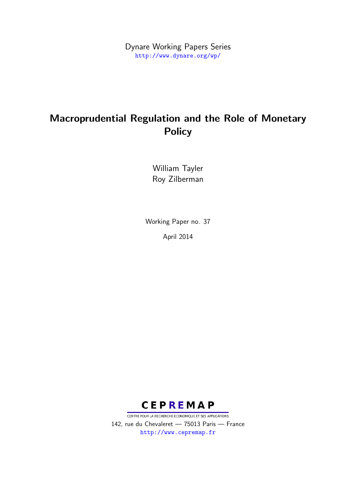Dynare Working Papers Series <http://www.dynare.org/wp/>

# Macroprudential Regulation and the Role of Monetary **Policy**

William Tayler Roy Zilberman

Working Paper no. 37 April 2014



CENTRE POUR LA RECHERCHE ECONOMIQUE ET SES APPLICATIONS 142, rue du Chevaleret — 75013 Paris — France <http://www.cepremap.fr>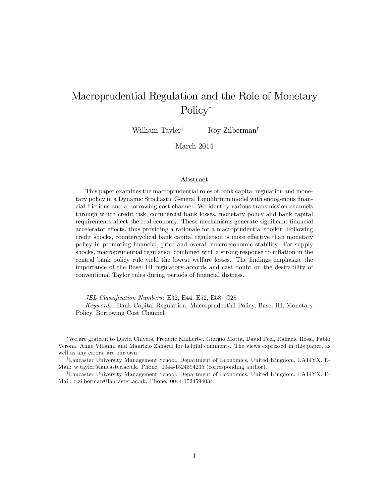# Macroprudential Regulation and the Role of Monetary Policy<sup>\*</sup>

William Tayler<sup>†</sup> Roy Zilberman<sup>‡</sup>

March 2014

#### Abstract

This paper examines the macroprudential roles of bank capital regulation and monetary policy in a Dynamic Stochastic General Equilibrium model with endogenous financial frictions and a borrowing cost channel. We identify various transmission channels through which credit risk, commercial bank losses, monetary policy and bank capital requirements affect the real economy. These mechanisms generate significant financial accelerator effects, thus providing a rationale for a macroprudential toolkit. Following credit shocks, countercyclical bank capital regulation is more effective than monetary policy in promoting Önancial, price and overall macroeconomic stability. For supply shocks, macroprudential regulation combined with a strong response to inflation in the central bank policy rule yield the lowest welfare losses. The Öndings emphasize the importance of the Basel III regulatory accords and cast doubt on the desirability of conventional Taylor rules during periods of financial distress.

JEL Classification Numbers: E32, E44, E52, E58, G28

Keywords: Bank Capital Regulation, Macroprudential Policy, Basel III, Monetary Policy, Borrowing Cost Channel.

<sup>\*</sup>We are grateful to David Chivers, Frederic Malherbe, Giorgio Motta, David Peel, Raffaele Rossi, Fabio Verona, Anne Villamil and Maurizio Zanardi for helpful comments. The views expressed in this paper, as well as any errors, are our own.

<sup>&</sup>lt;sup>†</sup>Lancaster University Management School, Department of Economics, United Kingdom, LA14YX. E-Mail: w.tayler@lancaster.ac.uk. Phone: 0044-1524594235 (corresponding author).

<sup>&</sup>lt;sup>‡</sup>Lancaster University Management School, Department of Economics, United Kingdom, LA14YX. E-Mail: r.zilberman@lancaster.ac.uk. Phone: 0044-1524594034.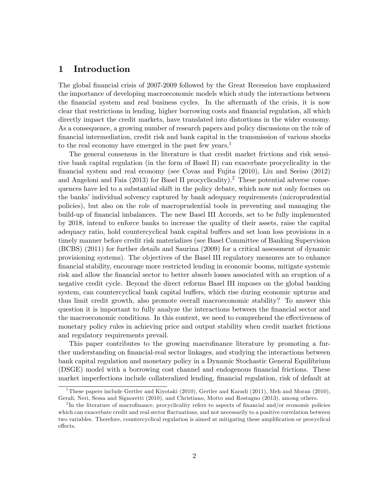# 1 Introduction

The global financial crisis of 2007-2009 followed by the Great Recession have emphasized the importance of developing macroeconomic models which study the interactions between the Önancial system and real business cycles. In the aftermath of the crisis, it is now clear that restrictions in lending, higher borrowing costs and Önancial regulation, all which directly impact the credit markets, have translated into distortions in the wider economy. As a consequence, a growing number of research papers and policy discussions on the role of financial intermediation, credit risk and bank capital in the transmission of various shocks to the real economy have emerged in the past few years.<sup>1</sup>

The general consensus in the literature is that credit market frictions and risk sensitive bank capital regulation (in the form of Basel II) can exacerbate procyclicality in the Önancial system and real economy (see Covas and Fujita (2010), Liu and Seeiso (2012) and Angeloni and Faia  $(2013)$  for Basel II procyclicality).<sup>2</sup> These potential adverse consequences have led to a substantial shift in the policy debate, which now not only focuses on the banks' individual solvency captured by bank adequacy requirements (microprudential policies), but also on the role of macroprudential tools in preventing and managing the build-up of Önancial imbalances. The new Basel III Accords, set to be fully implemented by 2018, intend to enforce banks to increase the quality of their assets, raise the capital adequacy ratio, hold countercyclical bank capital buffers and set loan loss provisions in a timely manner before credit risk materializes (see Basel Committee of Banking Supervision (BCBS) (2011) for further details and Saurina (2009) for a critical assessment of dynamic provisioning systems). The objectives of the Basel III regulatory measures are to enhance Önancial stability, encourage more restricted lending in economic booms, mitigate systemic risk and allow the Önancial sector to better absorb losses associated with an eruption of a negative credit cycle. Beyond the direct reforms Basel III imposes on the global banking system, can countercyclical bank capital buffers, which rise during economic upturns and thus limit credit growth, also promote overall macroeconomic stability? To answer this question it is important to fully analyze the interactions between the financial sector and the macroeconomic conditions. In this context, we need to comprehend the effectiveness of monetary policy rules in achieving price and output stability when credit market frictions and regulatory requirements prevail.

This paper contributes to the growing macrofinance literature by promoting a further understanding on financial-real sector linkages, and studying the interactions between bank capital regulation and monetary policy in a Dynamic Stochastic General Equilibrium (DSGE) model with a borrowing cost channel and endogenous financial frictions. These market imperfections include collateralized lending, financial regulation, risk of default at

<sup>&</sup>lt;sup>1</sup>These papers include Gertler and Kiyotaki (2010), Gertler and Karadi (2011), Meh and Moran (2010), Gerali, Neri, Sessa and Signoretti (2010), and Christiano, Motto and Rostagno (2013), among others.

 $^{2}$ In the literature of macrofinance, procyclicality refers to aspects of financial and/or economic policies which can exacerbate credit and real sector fluctuations, and not necessarily to a positive correlation between two variables. Therefore, countercyclical regulation is aimed at mitigating these amplification or procyclical effects.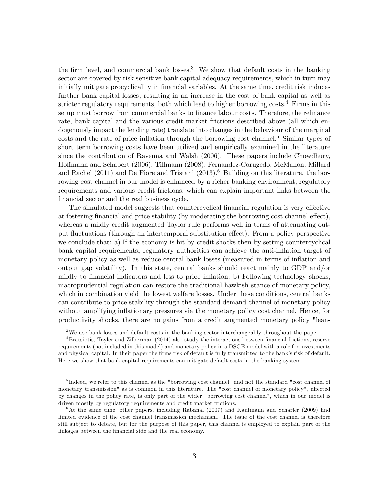the firm level, and commercial bank losses.<sup>3</sup> We show that default costs in the banking sector are covered by risk sensitive bank capital adequacy requirements, which in turn may initially mitigate procyclicality in financial variables. At the same time, credit risk induces further bank capital losses, resulting in an increase in the cost of bank capital as well as stricter regulatory requirements, both which lead to higher borrowing costs.<sup>4</sup> Firms in this setup must borrow from commercial banks to finance labour costs. Therefore, the refinance rate, bank capital and the various credit market frictions described above (all which endogenously impact the lending rate) translate into changes in the behaviour of the marginal  $\cos$  costs and the rate of price inflation through the borrowing cost channel.<sup>5</sup> Similar types of short term borrowing costs have been utilized and empirically examined in the literature since the contribution of Ravenna and Walsh (2006). These papers include Chowdhury, Hoffmann and Schabert (2006), Tillmann (2008), Fernandez-Corugedo, McMahon, Millard and Rachel (2011) and De Fiore and Tristani (2013).<sup>6</sup> Building on this literature, the borrowing cost channel in our model is enhanced by a richer banking environment, regulatory requirements and various credit frictions, which can explain important links between the financial sector and the real business cycle.

The simulated model suggests that countercyclical financial regulation is very effective at fostering financial and price stability (by moderating the borrowing cost channel effect), whereas a mildly credit augmented Taylor rule performs well in terms of attenuating output fluctuations (through an intertemporal substitution effect). From a policy perspective we conclude that: a) If the economy is hit by credit shocks then by setting countercyclical bank capital requirements, regulatory authorities can achieve the anti-inflation target of monetary policy as well as reduce central bank losses (measured in terms of inflation and output gap volatility). In this state, central banks should react mainly to GDP and/or mildly to financial indicators and less to price inflation; b) Following technology shocks, macroprudential regulation can restore the traditional hawkish stance of monetary policy, which in combination yield the lowest welfare losses. Under these conditions, central banks can contribute to price stability through the standard demand channel of monetary policy without amplifying inflationary pressures via the monetary policy cost channel. Hence, for productivity shocks, there are no gains from a credit augmented monetary policy "lean-

<sup>&</sup>lt;sup>3</sup>We use bank losses and default costs in the banking sector interchangeably throughout the paper.

 $4B$ ratsiotis, Tayler and Zilberman (2014) also study the interactions between financial frictions, reserve requirements (not included in this model) and monetary policy in a DSGE model with a role for investments and physical capital. In their paper the firms risk of default is fully transmitted to the bank's risk of default. Here we show that bank capital requirements can mitigate default costs in the banking system.

<sup>&</sup>lt;sup>5</sup>Indeed, we refer to this channel as the "borrowing cost channel" and not the standard "cost channel of monetary transmission" as is common in this literature. The "cost channel of monetary policy", affected by changes in the policy rate, is only part of the wider "borrowing cost channel", which in our model is driven mostly by regulatory requirements and credit market frictions.

 $6$ At the same time, other papers, including Rabanal (2007) and Kaufmann and Scharler (2009) find limited evidence of the cost channel transmission mechanism. The issue of the cost channel is therefore still subject to debate, but for the purpose of this paper, this channel is employed to explain part of the linkages between the financial side and the real economy.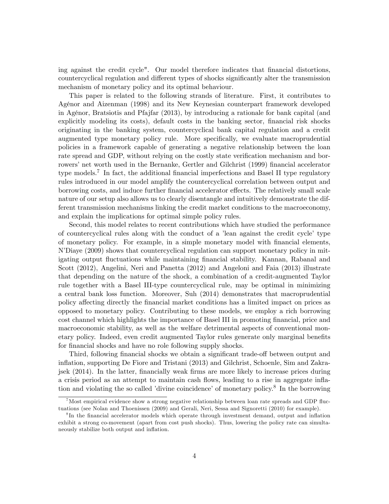ing against the credit cycle". Our model therefore indicates that financial distortions, countercyclical regulation and different types of shocks significantly alter the transmission mechanism of monetary policy and its optimal behaviour.

This paper is related to the following strands of literature. First, it contributes to AgÈnor and Aizenman (1998) and its New Keynesian counterpart framework developed in AgÈnor, Bratsiotis and Pfajfar (2013), by introducing a rationale for bank capital (and explicitly modeling its costs), default costs in the banking sector, financial risk shocks originating in the banking system, countercyclical bank capital regulation and a credit augmented type monetary policy rule. More specifically, we evaluate macroprudential policies in a framework capable of generating a negative relationship between the loan rate spread and GDP, without relying on the costly state verification mechanism and borrowers' net worth used in the Bernanke, Gertler and Gilchrist (1999) financial accelerator type models.<sup>7</sup> In fact, the additional financial imperfections and Basel II type regulatory rules introduced in our model amplify the countercyclical correlation between output and borrowing costs, and induce further financial accelerator effects. The relatively small scale nature of our setup also allows us to clearly disentangle and intuitively demonstrate the different transmission mechanisms linking the credit market conditions to the macroeconomy, and explain the implications for optimal simple policy rules.

Second, this model relates to recent contributions which have studied the performance of countercyclical rules along with the conduct of a 'lean against the credit cycle' type of monetary policy. For example, in a simple monetary model with Önancial elements, NíDiaye (2009) shows that countercyclical regulation can support monetary policy in mitigating output fluctuations while maintaining financial stability. Kannan, Rabanal and Scott (2012), Angelini, Neri and Panetta (2012) and Angeloni and Faia (2013) illustrate that depending on the nature of the shock, a combination of a credit-augmented Taylor rule together with a Basel III-type countercyclical rule, may be optimal in minimizing a central bank loss function. Moreover, Suh (2014) demonstrates that macroprudential policy affecting directly the financial market conditions has a limited impact on prices as opposed to monetary policy. Contributing to these models, we employ a rich borrowing cost channel which highlights the importance of Basel III in promoting Önancial, price and macroeconomic stability, as well as the welfare detrimental aspects of conventional monetary policy. Indeed, even credit augmented Taylor rules generate only marginal benefits for financial shocks and have no role following supply shocks.

Third, following financial shocks we obtain a significant trade-off between output and ináation, supporting De Fiore and Tristani (2013) and Gilchrist, Schoenle, Sim and Zakrajsek (2014). In the latter, Önancially weak Örms are more likely to increase prices during a crisis period as an attempt to maintain cash flows, leading to a rise in aggregate inflation and violating the so called 'divine coincidence' of monetary policy.<sup>8</sup> In the borrowing

<sup>&</sup>lt;sup>7</sup>Most empirical evidence show a strong negative relationship between loan rate spreads and GDP fluctuations (see Nolan and Thoenissen (2009) and Gerali, Neri, Sessa and Signoretti (2010) for example).

<sup>&</sup>lt;sup>8</sup>In the financial accelerator models which operate through investment demand, output and inflation exhibit a strong co-movement (apart from cost push shocks). Thus, lowering the policy rate can simultaneously stabilize both output and inflation.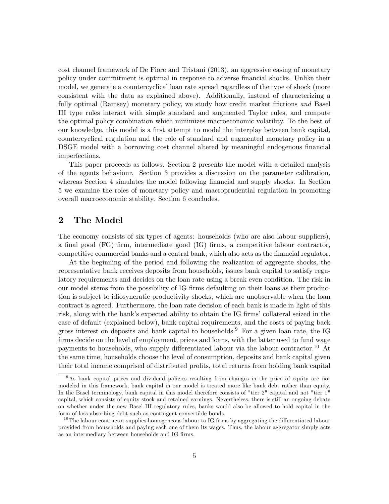cost channel framework of De Fiore and Tristani (2013), an aggressive easing of monetary policy under commitment is optimal in response to adverse Önancial shocks. Unlike their model, we generate a countercyclical loan rate spread regardless of the type of shock (more consistent with the data as explained above). Additionally, instead of characterizing a fully optimal (Ramsey) monetary policy, we study how credit market frictions and Basel III type rules interact with simple standard and augmented Taylor rules, and compute the optimal policy combination which minimizes macroeconomic volatility. To the best of our knowledge, this model is a first attempt to model the interplay between bank capital, countercyclical regulation and the role of standard and augmented monetary policy in a DSGE model with a borrowing cost channel altered by meaningful endogenous financial imperfections.

This paper proceeds as follows. Section 2 presents the model with a detailed analysis of the agents behaviour. Section 3 provides a discussion on the parameter calibration, whereas Section 4 simulates the model following financial and supply shocks. In Section 5 we examine the roles of monetary policy and macroprudential regulation in promoting overall macroeconomic stability. Section 6 concludes.

# 2 The Model

The economy consists of six types of agents: households (who are also labour suppliers), a final good (FG) firm, intermediate good (IG) firms, a competitive labour contractor, competitive commercial banks and a central bank, which also acts as the Önancial regulator.

At the beginning of the period and following the realization of aggregate shocks, the representative bank receives deposits from households, issues bank capital to satisfy regulatory requirements and decides on the loan rate using a break even condition. The risk in our model stems from the possibility of IG firms defaulting on their loans as their production is subject to idiosyncratic productivity shocks, which are unobservable when the loan contract is agreed. Furthermore, the loan rate decision of each bank is made in light of this risk, along with the bank's expected ability to obtain the IG firms' collateral seized in the case of default (explained below), bank capital requirements, and the costs of paying back gross interest on deposits and bank capital to households.<sup>9</sup> For a given loan rate, the IG firms decide on the level of employment, prices and loans, with the latter used to fund wage payments to households, who supply differentiated labour via the labour contractor.<sup>10</sup> At the same time, households choose the level of consumption, deposits and bank capital given their total income comprised of distributed profits, total returns from holding bank capital

<sup>&</sup>lt;sup>9</sup>As bank capital prices and dividend policies resulting from changes in the price of equity are not modeled in this framework, bank capital in our model is treated more like bank debt rather than equity. In the Basel terminology, bank capital in this model therefore consists of "tier 2" capital and not "tier 1" capital, which consists of equity stock and retained earnings. Nevertheless, there is still an ongoing debate on whether under the new Basel III regulatory rules, banks would also be allowed to hold capital in the form of loss-absorbing debt such as contingent convertible bonds.

 $10$ The labour contractor supplies homogeneous labour to IG firms by aggregating the differentiated labour provided from households and paying each one of them its wages. Thus, the labour aggregator simply acts as an intermediary between households and IG firms.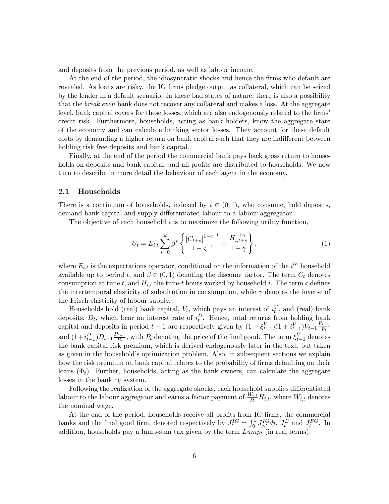and deposits from the previous period, as well as labour income.

At the end of the period, the idiosyncratic shocks and hence the firms who default are revealed. As loans are risky, the IG firms pledge output as collateral, which can be seized by the lender in a default scenario. In these bad states of nature, there is also a possibility that the *break even* bank does not recover any collateral and makes a loss. At the aggregate level, bank capital covers for these losses, which are also endogenously related to the firms' credit risk. Furthermore, households, acting as bank holders, know the aggregate state of the economy and can calculate banking sector losses. They account for these default costs by demanding a higher return on bank capital such that they are indifferent between holding risk free deposits and bank capital.

Finally, at the end of the period the commercial bank pays back gross return to households on deposits and bank capital, and all profits are distributed to households. We now turn to describe in more detail the behaviour of each agent in the economy.

### 2.1 Households

There is a continuum of households, indexed by  $i \in (0, 1)$ , who consume, hold deposits, demand bank capital and supply differentiated labour to a labour aggregator.

The objective of each household  $i$  is to maximize the following utility function,

$$
U_t = E_{i,t} \sum_{s=0}^{\infty} \beta^s \left\{ \frac{[C_{t+s}]^{1-\varsigma^{-1}}}{1-\varsigma^{-1}} - \frac{H_{i,t+s}^{1+\gamma}}{1+\gamma} \right\},\tag{1}
$$

where  $E_{i,t}$  is the expectations operator, conditional on the information of the  $i^{th}$  household available up to period t, and  $\beta \in (0,1)$  denoting the discount factor. The term  $C_t$  denotes consumption at time t, and  $H_{i,t}$  the time-t hours worked by household i. The term  $\varsigma$  defines the intertemporal elasticity of substitution in consumption, while  $\gamma$  denotes the inverse of the Frisch elasticity of labour supply.

Households hold (real) bank capital,  $V_t$ , which pays an interest of  $i_t^V$ , and (real) bank t deposits,  $D_t$ , which bear an interest rate of  $i_t^D$ . Hence, total returns from holding bank capital and deposits in period  $t-1$  are respectively given by  $(1 - \xi_{t-1}^V)(1 + i_{t-1}^V)V_{t-1}\frac{P_{t-1}}{P_t}$ and  $(1+i_{t-1}^D)D_{t-1}\frac{P_{t-1}}{P_t}$ , with  $P_t$  denoting the price of the final good. The term  $\xi_{t-1}^V$  denotes the bank capital risk premium, which is derived endogenously later in the text, but taken as given in the household's optimization problem. Also, in subsequent sections we explain how the risk premium on bank capital relates to the probability of firms defaulting on their loans  $(\Phi_t)$ . Further, households, acting as the bank owners, can calculate the aggregate losses in the banking system.

Following the realization of the aggregate shocks, each household supplies differentiated labour to the labour aggregator and earns a factor payment of  $\frac{W_{i,t}}{P_t}H_{i,t}$ , where  $W_{i,t}$  denotes the nominal wage.

At the end of the period, households receive all profits from IG firms, the commercial banks and the final good firm, denoted respectively by  $J_t^{IG} = \int_0^1 J_{j,t}^{IG} dj$ ,  $J_t^B$  and  $J_t^{FG}$ . In addition, households pay a lump-sum tax given by the term  $Lump_t$  (in real terms).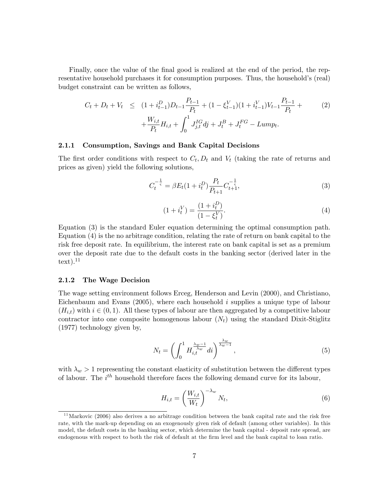Finally, once the value of the final good is realized at the end of the period, the representative household purchases it for consumption purposes. Thus, the household's (real) budget constraint can be written as follows,

$$
C_t + D_t + V_t \leq (1 + i_{t-1}^D)D_{t-1}\frac{P_{t-1}}{P_t} + (1 - \xi_{t-1}^V)(1 + i_{t-1}^V)V_{t-1}\frac{P_{t-1}}{P_t} + \frac{W_{i,t}}{P_t}H_{i,t} + \int_0^1 J_{j,t}^I d\dot{y} + J_t^B + J_t^{FG} - Lump_t.
$$
\n
$$
(2)
$$

#### 2.1.1 Consumption, Savings and Bank Capital Decisions

The first order conditions with respect to  $C_t$ ,  $D_t$  and  $V_t$  (taking the rate of returns and prices as given) yield the following solutions,

$$
C_t^{-\frac{1}{\varsigma}} = \beta E_t (1 + i_t^D) \frac{P_t}{P_{t+1}} C_{t+1}^{-\frac{1}{\varsigma}},\tag{3}
$$

$$
(1 + i_t^V) = \frac{(1 + i_t^D)}{(1 - \xi_t^V)}.
$$
\n(4)

Equation (3) is the standard Euler equation determining the optimal consumption path. Equation (4) is the no arbitrage condition, relating the rate of return on bank capital to the risk free deposit rate. In equilibrium, the interest rate on bank capital is set as a premium over the deposit rate due to the default costs in the banking sector (derived later in the  $text)$ <sup>11</sup>

#### 2.1.2 The Wage Decision

The wage setting environment follows Erceg, Henderson and Levin (2000), and Christiano, Eichenbaum and Evans  $(2005)$ , where each household i supplies a unique type of labour  $(H_{i,t})$  with  $i \in (0,1)$ . All these types of labour are then aggregated by a competitive labour contractor into one composite homogenous labour  $(N_t)$  using the standard Dixit-Stiglitz (1977) technology given by,

$$
N_t = \left(\int_0^1 H_{i,t}^{\frac{\lambda_w - 1}{\lambda_w}} dt\right)^{\frac{\lambda_w}{\lambda_w - 1}},\tag{5}
$$

with  $\lambda_w > 1$  representing the constant elasticity of substitution between the different types of labour. The  $i^{th}$  household therefore faces the following demand curve for its labour,

$$
H_{i,t} = \left(\frac{W_{i,t}}{W_t}\right)^{-\lambda_w} N_t,
$$
\n(6)

 $11$ Markovic (2006) also derives a no arbitrage condition between the bank capital rate and the risk free rate, with the mark-up depending on an exogenously given risk of default (among other variables). In this model, the default costs in the banking sector, which determine the bank capital - deposit rate spread, are endogenous with respect to both the risk of default at the Örm level and the bank capital to loan ratio.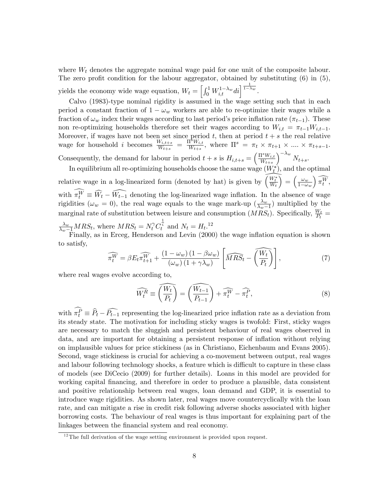where  $W_t$  denotes the aggregate nominal wage paid for one unit of the composite labour. The zero profit condition for the labour aggregator, obtained by substituting  $(6)$  in  $(5)$ , yields the economy wide wage equation,  $W_t = \left[\int_0^1 W_{i,t}^{1-\lambda_w} dt\right]^{\frac{1}{1-\lambda_w}}$ .

Calvo (1983)-type nominal rigidity is assumed in the wage setting such that in each period a constant fraction of  $1 - \omega_w$  workers are able to re-optimize their wages while a fraction of  $\omega_w$  index their wages according to last period's price inflation rate  $(\pi_{t-1})$ . These non re-optimizing households therefore set their wages according to  $W_{i,t} = \pi_{t-1}W_{i,t-1}$ . Moreover, if wages have not been set since period  $t$ , then at period  $t + s$  the real relative wage for household *i* becomes  $\frac{W_{i,t+s}}{W_{t+s}} = \frac{\Pi^s W_{i,t}}{W_{t+s}}$  $\frac{I^{s}W_{i,t}}{W_{t+s}},$  where  $\Pi^{s} = \pi_{t} \times \pi_{t+1} \times ... \times \pi_{t+s-1}.$ 

Consequently, the demand for labour in period  $t + s$  is  $H_{i,t+s} = \left(\frac{\Pi^s W_{i,t}}{W_{i+s}}\right)$  $W_{t+s}$  $\int$ <sup>- $\lambda_w$ </sup>  $N_{t+s}$ .

In equilibrium all re-optimizing households choose the same wage  $(W_t^*),$  and the optimal relative wage in a log-linearized form (denoted by hat) is given by  $\left(\frac{W_t^*}{W_t}\right)$  $= \left( \frac{\omega_w}{1-\omega} \right)$  $1-\omega_w$  $\left( \widehat{\pi_{t}^{W}},\right.$ with  $\pi_t^W \equiv \hat{W}_t - \hat{W}_{t-1}$  denoting the log-linearized wage inflation. In the absence of wage rigidities ( $\omega_w = 0$ ), the real wage equals to the wage mark-up ( $\frac{\lambda_w}{\lambda_w - 1}$  $\frac{\lambda_w}{\lambda_w-1}$  multiplied by the marginal rate of substitution between leisure and consumption  $(MRS_t)$ . Specifically,  $\frac{W_t}{P_t}$  =

 $\frac{\lambda_w}{\lambda_w-1} MRS_t$ , where  $MRS_t = N_t^{\gamma} C_t^{\frac{1}{\zeta}}$  and  $N_t = H_t$ .<sup>12</sup>

Finally, as in Erceg, Henderson and Levin (2000) the wage inflation equation is shown to satisfy,

$$
\widehat{\pi_t^W} = \beta E_t \widehat{\pi_{t+1}^W} + \frac{(1 - \omega_w)(1 - \beta \omega_w)}{(\omega_w)(1 + \gamma \lambda_w)} \left[ \widehat{MRS}_t - \widehat{\left(\frac{W_t}{P_t}\right)} \right],\tag{7}
$$

where real wages evolve according to,

$$
\widehat{W_t^R} \equiv \widehat{\left(\frac{W_t}{P_t}\right)} = \widehat{\left(\frac{W_{t-1}}{P_{t-1}}\right)} + \widehat{\pi_t^W} - \widehat{\pi_t^P},\tag{8}
$$

with  $\pi_t^P \equiv \hat{P}_t - \hat{P}_{t-1}$  representing the log-linearized price inflation rate as a deviation from its steady state. The motivation for including sticky wages is twofold: First, sticky wages are necessary to match the sluggish and persistent behaviour of real wages observed in data, and are important for obtaining a persistent response of ináation without relying on implausible values for price stickiness (as in Christiano, Eichenbaum and Evans 2005). Second, wage stickiness is crucial for achieving a co-movement between output, real wages and labour following technology shocks, a feature which is difficult to capture in these class of models (see DiCecio (2009) for further details). Loans in this model are provided for working capital Önancing, and therefore in order to produce a plausible, data consistent and positive relationship between real wages, loan demand and GDP, it is essential to introduce wage rigidities. As shown later, real wages move countercyclically with the loan rate, and can mitigate a rise in credit risk following adverse shocks associated with higher borrowing costs. The behaviour of real wages is thus important for explaining part of the linkages between the financial system and real economy.

 $12$ The full derivation of the wage setting environment is provided upon request.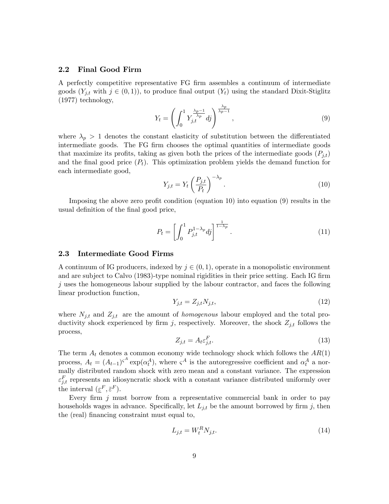## 2.2 Final Good Firm

A perfectly competitive representative FG Örm assembles a continuum of intermediate goods  $(Y_{j,t}$  with  $j \in (0,1)$ , to produce final output  $(Y_t)$  using the standard Dixit-Stiglitz (1977) technology,

$$
Y_t = \left(\int_0^1 Y_{j,t}^{\frac{\lambda_p - 1}{\lambda_p}} dj\right)^{\frac{\lambda_p}{\lambda_p - 1}},\tag{9}
$$

where  $\lambda_p > 1$  denotes the constant elasticity of substitution between the differentiated intermediate goods. The FG firm chooses the optimal quantities of intermediate goods that maximize its profits, taking as given both the prices of the intermediate goods  $(P_{it})$ and the final good price  $(P_t)$ . This optimization problem yields the demand function for each intermediate good,

$$
Y_{j,t} = Y_t \left(\frac{P_{j,t}}{P_t}\right)^{-\lambda_p}.\tag{10}
$$

Imposing the above zero profit condition (equation 10) into equation  $(9)$  results in the usual definition of the final good price,

$$
P_t = \left[ \int_0^1 P_{j,t}^{1-\lambda_p} dy \right]^{\frac{1}{1-\lambda_p}}.
$$
\n(11)

## 2.3 Intermediate Good Firms

A continuum of IG producers, indexed by  $j \in (0, 1)$ , operate in a monopolistic environment and are subject to Calvo (1983)-type nominal rigidities in their price setting. Each IG firm  $j$  uses the homogeneous labour supplied by the labour contractor, and faces the following linear production function,

$$
Y_{j,t} = Z_{j,t} N_{j,t},\tag{12}
$$

where  $N_{j,t}$  and  $Z_{j,t}$  are the amount of *homogenous* labour employed and the total productivity shock experienced by firm j, respectively. Moreover, the shock  $Z_{j,t}$  follows the process,

$$
Z_{j,t} = A_t \varepsilon_{j,t}^F. \tag{13}
$$

The term  $A_t$  denotes a common economy wide technology shock which follows the  $AR(1)$ process,  $A_t = (A_{t-1})^{\zeta^A} \exp(\alpha_t^A)$ , where  $\zeta^A$  is the autoregressive coefficient and  $\alpha_t^A$  a normally distributed random shock with zero mean and a constant variance. The expression  $\varepsilon_{j,t}^F$  represents an idiosyncratic shock with a constant variance distributed uniformly over the interval  $(\underline{\varepsilon}^F, \overline{\varepsilon}^F)$ .

Every firm  $j$  must borrow from a representative commercial bank in order to pay households wages in advance. Specifically, let  $L_{j,t}$  be the amount borrowed by firm j, then the (real) financing constraint must equal to,

$$
L_{j,t} = W_t^R N_{j,t}.\tag{14}
$$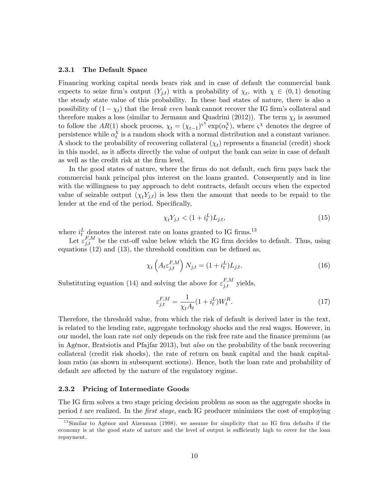#### 2.3.1 The Default Space

Financing working capital needs bears risk and in case of default the commercial bank expects to seize firm's output  $(Y_{j,t})$  with a probability of  $\chi_t$ , with  $\chi \in (0,1)$  denoting the steady state value of this probability. In these bad states of nature, there is also a possibility of  $(1 - \chi_t)$  that the *break even* bank cannot recover the IG firm's collateral and therefore makes a loss (similar to Jermann and Quadrini (2012)). The term  $\chi_t$  is assumed to follow the  $AR(1)$  shock process,  $\chi_t = (\chi_{t-1})^{\varsigma^{\chi}} \exp(\alpha_t^{\chi})$  $_{t}^{\chi}$ ), where  $\varsigma^{\chi}$  denotes the degree of persistence while  $\alpha_t^{\chi}$  $\alpha_t^{\chi}$  is a random shock with a normal distribution and a constant variance. A shock to the probability of recovering collateral  $(\chi_t)$  represents a financial (credit) shock in this model, as it affects directly the value of output the bank can seize in case of default as well as the credit risk at the firm level.

In the good states of nature, where the firms do not default, each firm pays back the commercial bank principal plus interest on the loans granted. Consequently and in line with the willingness to pay approach to debt contracts, default occurs when the expected value of seizable output  $(\chi_t Y_{j,t})$  is less then the amount that needs to be repaid to the lender at the end of the period. Specifically,

$$
\chi_t Y_{j,t} < (1 + i_t^L) L_{j,t},\tag{15}
$$

where  $i_t^L$  denotes the interest rate on loans granted to IG firms.<sup>13</sup>

Let  $\varepsilon_{j,t}^{F,M}$  be the cut-off value below which the IG firm decides to default. Thus, using equations  $(12)$  and  $(13)$ , the threshold condition can be defined as,

$$
\chi_t\left(A_t \varepsilon_{j,t}^{F,M}\right) N_{j,t} = (1 + i_t^L) L_{j,t}.
$$
\n(16)

Substituting equation (14) and solving the above for  $\varepsilon_{j,t}^{F,M}$  yields,

$$
\varepsilon_{j,t}^{F,M} = \frac{1}{\chi_t A_t} (1 + i_t^L) W_t^R. \tag{17}
$$

Therefore, the threshold value, from which the risk of default is derived later in the text, is related to the lending rate, aggregate technology shocks and the real wages. However, in our model, the loan rate not only depends on the risk free rate and the finance premium (as in AgÈnor, Bratsiotis and Pfajfar 2013), but also on the probability of the bank recovering collateral (credit risk shocks), the rate of return on bank capital and the bank capitalloan ratio (as shown in subsequent sections). Hence, both the loan rate and probability of default are affected by the nature of the regulatory regime.

#### 2.3.2 Pricing of Intermediate Goods

The IG firm solves a two stage pricing decision problem as soon as the aggregate shocks in period t are realized. In the first stage, each IG producer minimizes the cost of employing

<sup>&</sup>lt;sup>13</sup>Similar to Agénor and Aizenman (1998), we assume for simplicity that no IG firm defaults if the economy is at the good state of nature and the level of output is sufficiently high to cover for the loan repayment.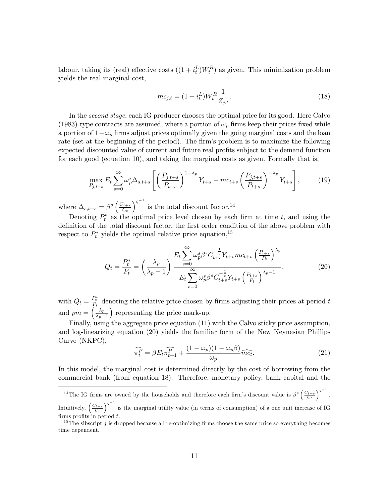labour, taking its (real) effective costs  $((1 + i_t^L)W_t^R)$  as given. This minimization problem yields the real marginal cost,

$$
mc_{j,t} = (1 + i_t^L)W_t^R \frac{1}{Z_{j,t}}.\t(18)
$$

In the *second stage*, each IG producer chooses the optimal price for its good. Here Calvo (1983)-type contracts are assumed, where a portion of  $\omega_p$  firms keep their prices fixed while a portion of  $1 - \omega_p$  firms adjust prices optimally given the going marginal costs and the loan rate (set at the beginning of the period). The firm's problem is to maximize the following expected discounted value of current and future real profits subject to the demand function for each good (equation 10), and taking the marginal costs as given. Formally that is,

$$
\max_{P_{j,t+s}} E_t \sum_{s=0}^{\infty} \omega_p^s \Delta_{s,t+s} \left[ \left( \frac{P_{j,t+s}}{P_{t+s}} \right)^{1-\lambda_p} Y_{t+s} - mc_{t+s} \left( \frac{P_{j,t+s}}{P_{t+s}} \right)^{-\lambda_p} Y_{t+s} \right],\tag{19}
$$

where  $\Delta_{s,t+s} = \beta^s \left( \frac{C_{t+s}}{C_t} \right)$  $C_t$  $\int^{c^{-1}}$  is the total discount factor.<sup>14</sup>

Denoting  $P_t^*$  as the optimal price level chosen by each firm at time t, and using the definition of the total discount factor, the first order condition of the above problem with respect to  $P_t^*$  yields the optimal relative price equation,  $^{15}$ 

$$
Q_{t} = \frac{P_{t}^{*}}{P_{t}} = \left(\frac{\lambda_{p}}{\lambda_{p}-1}\right) \frac{E_{t} \sum_{s=0}^{\infty} \omega_{p}^{s} \beta^{s} C_{t+s}^{-\frac{1}{s}} Y_{t+s} m c_{t+s} \left(\frac{P_{t+s}}{P_{t}}\right)^{\lambda_{p}}}{E_{t} \sum_{s=0}^{\infty} \omega_{p}^{s} \beta^{s} C_{t+s}^{-\frac{1}{s}} Y_{t+s} \left(\frac{P_{t+s}}{P_{t}}\right)^{\lambda_{p}-1}},
$$
\n(20)

with  $Q_t = \frac{P_t^*}{P_t}$  denoting the relative price chosen by firms adjusting their prices at period t and  $pm = \left(\frac{\lambda_p}{\lambda_p - 1}\right)$  $\lambda_p-1$ ) representing the price mark-up.

Finally, using the aggregate price equation (11) with the Calvo sticky price assumption, and log-linearizing equation (20) yields the familiar form of the New Keynesian Phillips Curve (NKPC),

$$
\widehat{\pi_t^P} = \beta E_t \widehat{\pi_{t+1}^P} + \frac{(1 - \omega_p)(1 - \omega_p \beta)}{\omega_p} \widehat{mc_t}.
$$
\n(21)

In this model, the marginal cost is determined directly by the cost of borrowing from the commercial bank (from equation 18). Therefore, monetary policy, bank capital and the

<sup>&</sup>lt;sup>14</sup>The IG firms are owned by the households and therefore each firm's discount value is  $\beta^s \left( \frac{C_{t+s}}{C_t} \right)$  $\big)^{\varsigma^{-1}}$ .

Intuitively,  $\left(\frac{C_{t+s}}{C_t}\right)$  $\int^{5}$  is the marginal utility value (in terms of consumption) of a one unit increase of IG firms profits in period  $t$ .

 $15$ The sibscript j is dropped because all re-optimizing firms choose the same price so everything becomes time dependent.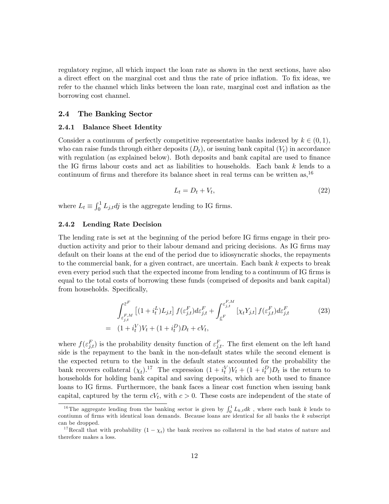regulatory regime, all which impact the loan rate as shown in the next sections, have also a direct effect on the marginal cost and thus the rate of price inflation. To fix ideas, we refer to the channel which links between the loan rate, marginal cost and inflation as the borrowing cost channel.

### 2.4 The Banking Sector

#### 2.4.1 Balance Sheet Identity

Consider a continuum of perfectly competitive representative banks indexed by  $k \in (0, 1)$ , who can raise funds through either deposits  $(D_t)$ , or issuing bank capital  $(V_t)$  in accordance with regulation (as explained below). Both deposits and bank capital are used to finance the IG firms labour costs and act as liabilities to households. Each bank  $k$  lends to a continuum of firms and therefore its balance sheet in real terms can be written as,  $^{16}$ 

$$
L_t = D_t + V_t,\tag{22}
$$

where  $L_t \equiv \int_0^1 L_{j,t} dy$  is the aggregate lending to IG firms.

## 2.4.2 Lending Rate Decision

The lending rate is set at the beginning of the period before IG firms engage in their production activity and prior to their labour demand and pricing decisions. As IG firms may default on their loans at the end of the period due to idiosyncratic shocks, the repayments to the commercial bank, for a given contract, are uncertain. Each bank k expects to break even every period such that the expected income from lending to a continuum of IG firms is equal to the total costs of borrowing these funds (comprised of deposits and bank capital) from households. Specifically,

$$
\int_{\varepsilon_{j,t}^{F,M}}^{\overline{\varepsilon}^F} \left[ (1 + i_t^L) L_{j,t} \right] f(\varepsilon_{j,t}^F) d\varepsilon_{j,t}^F + \int_{\varepsilon^F}^{\varepsilon_{j,t}^{F,M}} \left[ \chi_t Y_{j,t} \right] f(\varepsilon_{j,t}^F) d\varepsilon_{j,t}^F
$$
\n
$$
= (1 + i_t^V) V_t + (1 + i_t^D) D_t + cV_t,
$$
\n(23)

where  $f(\varepsilon_{j,t}^F)$  is the probability density function of  $\varepsilon_{j,t}^F$ . The first element on the left hand side is the repayment to the bank in the non-default states while the second element is the expected return to the bank in the default states accounted for the probability the bank recovers collateral  $(\chi_t)$ .<sup>17</sup> The expression  $(1+i_t^V)V_t + (1+i_t^D)D_t$  is the return to households for holding bank capital and saving deposits, which are both used to finance loans to IG firms. Furthermore, the bank faces a linear cost function when issuing bank capital, captured by the term  $cV_t$ , with  $c > 0$ . These costs are independent of the state of

<sup>&</sup>lt;sup>16</sup>The aggregate lending from the banking sector is given by  $\int_0^1 L_{k,t}dk$ , where each bank k lends to contiumn of firms with identical loan demands. Because loans are identical for all banks the  $k$  subscript can be dropped.

<sup>&</sup>lt;sup>17</sup>Recall that with probability  $(1 - \chi_t)$  the bank receives no collateral in the bad states of nature and therefore makes a loss.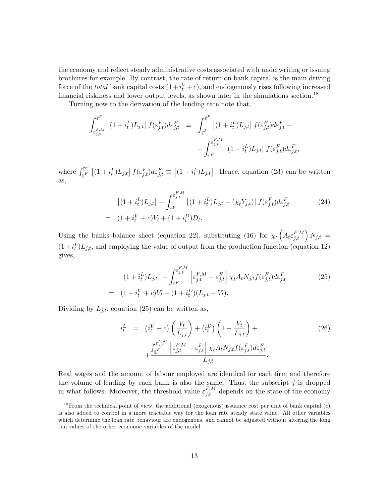the economy and reflect steady administrative costs associated with underwriting or issuing brochures for example. By contrast, the rate of return on bank capital is the main driving force of the *total* bank capital costs  $(1+i_t^V+c)$ , and endogenously rises following increased financial riskiness and lower output levels, as shown later in the simulations section.<sup>18</sup>

Turning now to the derivation of the lending rate note that,

$$
\int_{\varepsilon_{j,t}^{F,M}}^{\overline{\varepsilon}^F} \left[ (1+i_t^L) L_{j,t} \right] f(\varepsilon_{j,t}^F) d\varepsilon_{j,t}^F \equiv \int_{\underline{\varepsilon}^F}^{\overline{\varepsilon}^F} \left[ (1+i_t^L) L_{j,t} \right] f(\varepsilon_{j,t}^F) d\varepsilon_{j,t}^F - \int_{\underline{\varepsilon}^F}^{\varepsilon_{j,t}^F,M} \left[ (1+i_t^L) L_{j,t} \right] f(\varepsilon_{j,t}^F) d\varepsilon_{j,t}^F,
$$

where  $\int_{\varepsilon F}^{\overline{\varepsilon}^F}$  $\sum_{j\in F}^{\infty} [(1+i_t^L)L_{j,t}] f(\varepsilon_{j,t}^F) d\varepsilon_{j,t}^F \equiv [(1+i_t^L)L_{j,t}]$ . Hence, equation (23) can be written as,

$$
[(1 + i_t^L)L_{j,t}] - \int_{\varepsilon^F}^{\varepsilon^{F,M}_{j,t}} [(1 + i_t^L)L_{j,t} - (\chi_t Y_{j,t})] f(\varepsilon^F_{j,t}) d\varepsilon^F_{j,t}
$$
\n
$$
= (1 + i_t^V + c)V_t + (1 + i_t^D)D_t.
$$
\n(24)

Using the banks balance sheet (equation 22), substituting (16) for  $\chi_t\left(A_t\varepsilon_{j,t}^{F,M}\right)N_{j,t}$  =  $(1+i_t^L)L_{j,t}$ , and employing the value of output from the production function (equation 12) gives,

$$
\left[ (1 + i_t^L) L_{j,t} \right] - \int_{\varepsilon^F}^{\varepsilon^F, M} \left[ \varepsilon^{F, M}_{j,t} - \varepsilon^{F}_{j,t} \right] \chi_t A_t N_{j,t} f(\varepsilon^F_{j,t}) d\varepsilon^F_{j,t}
$$
\n
$$
= (1 + i_t^V + c)V_t + (1 + i_t^D)(L_{j,t} - V_t).
$$
\n(25)

Dividing by  $L_{j,t}$ , equation (25) can be written as,

$$
i_t^L = (i_t^V + c) \left(\frac{V_t}{L_{j,t}}\right) + (i_t^D) \left(1 - \frac{V_t}{L_{j,t}}\right) +
$$
  
+ 
$$
\frac{\int_{\underline{\epsilon}^{F,M}}^{\epsilon_{j,t}^{F,M}} \left[\epsilon_{j,t}^{F,M} - \epsilon_{j,t}^F\right] \chi_t A_t N_{j,t} f(\epsilon_{j,t}^F) d\epsilon_{j,t}^F}{L_{j,t}}.
$$
 (26)

Real wages and the amount of labour employed are identical for each firm and therefore the volume of lending by each bank is also the same. Thus, the subscript  $j$  is dropped in what follows. Moreover, the threshold value  $\varepsilon_{j,t}^{F,M}$  depends on the state of the economy

<sup>&</sup>lt;sup>18</sup> From the technical point of view, the additional (exogenous) issuance cost per unit of bank capital  $(c)$ is also added to control in a more tractable way for the loan rate steady state value. All other variables which determine the loan rate behaviour are endogenous, and cannot be adjusted without altering the long run values of the other economic variables of the model.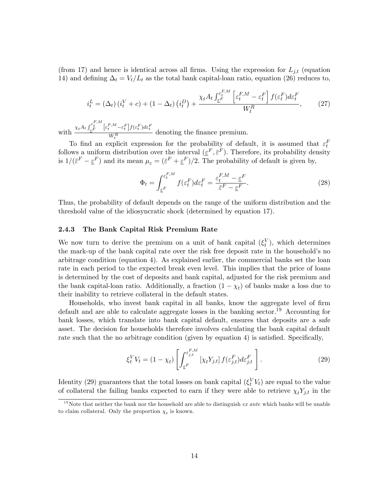(from 17) and hence is identical across all firms. Using the expression for  $L_{j,t}$  (equation 14) and defining  $\Delta_t = V_t/L_t$  as the total bank capital-loan ratio, equation (26) reduces to,

$$
i_t^L = (\Delta_t) \left( i_t^V + c \right) + (1 - \Delta_t) \left( i_t^D \right) + \frac{\chi_t A_t \int_{\varepsilon}^{\varepsilon_t^{F,M}} \left[ \varepsilon_t^{F,M} - \varepsilon_t^F \right] f(\varepsilon_t^F) d\varepsilon_t^F}{W_t^R},\tag{27}
$$

with  $\frac{\chi_t A_t \int_{\varepsilon}^{F,M} \left[ \varepsilon_t^{F,M} - \varepsilon_t^F \right] f(\varepsilon_t^F) d\varepsilon_t^F}{WR}$  $\frac{V_{\ell}R}{W_{\ell}R}$  denoting the finance premium.

To find an explicit expression for the probability of default, it is assumed that  $\varepsilon_t^F$ follows a uniform distribution over the interval  $(\underline{\varepsilon}^F, \overline{\varepsilon}^F)$ . Therefore, its probability density is  $1/(\bar{\varepsilon}^F - \underline{\varepsilon}^F)$  and its mean  $\mu_{\varepsilon} = (\bar{\varepsilon}^F + \underline{\varepsilon}^F)/2$ . The probability of default is given by,

$$
\Phi_t = \int_{\underline{\varepsilon}^F}^{\varepsilon_t^{F,M}} f(\varepsilon_t^F) d\varepsilon_t^F = \frac{\varepsilon_t^{F,M} - \underline{\varepsilon}^F}{\overline{\varepsilon}^F - \underline{\varepsilon}^F}.
$$
\n(28)

Thus, the probability of default depends on the range of the uniform distribution and the threshold value of the idiosyncratic shock (determined by equation 17).

## 2.4.3 The Bank Capital Risk Premium Rate

We now turn to derive the premium on a unit of bank capital  $(\xi_t^V)$ , which determines the mark-up of the bank capital rate over the risk free deposit rate in the household's no arbitrage condition (equation 4). As explained earlier, the commercial banks set the loan rate in each period to the expected break even level. This implies that the price of loans is determined by the cost of deposits and bank capital, adjusted for the risk premium and the bank capital-loan ratio. Additionally, a fraction  $(1 - \chi_t)$  of banks make a loss due to their inability to retrieve collateral in the default states.

Households, who invest bank capital in all banks, know the aggregate level of firm default and are able to calculate aggregate losses in the banking sector.<sup>19</sup> Accounting for bank losses, which translate into bank capital default, ensures that deposits are a safe asset. The decision for households therefore involves calculating the bank capital default rate such that the no arbitrage condition (given by equation 4) is satisfied. Specifically,

$$
\xi_t^V V_t = (1 - \chi_t) \left[ \int_{\underline{\varepsilon}^F}^{\varepsilon_{j,t}^F} [\chi_t Y_{j,t}] f(\varepsilon_{j,t}^F) d\varepsilon_{j,t}^F \right]. \tag{29}
$$

Identity (29) guarantees that the total losses on bank capital  $(\xi_t^V V_t)$  are equal to the value of collateral the failing banks expected to earn if they were able to retrieve  $\chi_t Y_{j,t}$  in the

<sup>&</sup>lt;sup>19</sup>Note that neither the bank nor the household are able to distinguish *ex ante* which banks will be unable to claim collateral. Only the proportion  $\chi_t$  is known.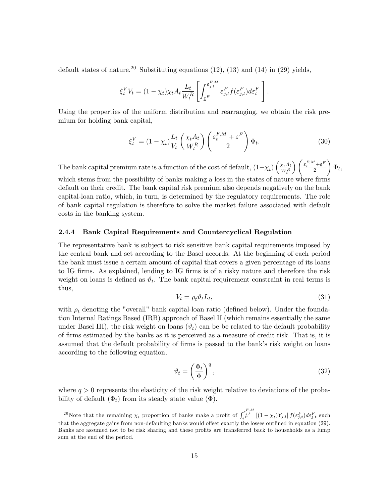default states of nature.<sup>20</sup> Substituting equations  $(12)$ ,  $(13)$  and  $(14)$  in  $(29)$  yields,

$$
\xi_t^V V_t = (1 - \chi_t) \chi_t A_t \frac{L_t}{W_t^R} \left[ \int_{\underline{\varepsilon}^F}^{\varepsilon_{j,t}^F M} \varepsilon_{j,t}^F f(\varepsilon_{j,t}^F) d\varepsilon_t^F \right].
$$

Using the properties of the uniform distribution and rearranging, we obtain the risk premium for holding bank capital,

$$
\xi_t^V = (1 - \chi_t) \frac{L_t}{V_t} \left(\frac{\chi_t A_t}{W_t^R}\right) \left(\frac{\varepsilon_t^{F,M} + \varepsilon^F}{2}\right) \Phi_t.
$$
\n(30)

The bank capital premium rate is a function of the cost of default,  $(1-\chi_t)\left(\frac{\chi_t A_t}{W_t^R}\right)$  $W_t^R$  $\left\{\frac{\varepsilon_t^{F,M}+\varepsilon^F}{\varepsilon}\right\}$ 2  $\setminus$  $\Phi_t,$ 

which stems from the possibility of banks making a loss in the states of nature where firms default on their credit. The bank capital risk premium also depends negatively on the bank capital-loan ratio, which, in turn, is determined by the regulatory requirements. The role of bank capital regulation is therefore to solve the market failure associated with default costs in the banking system.

#### 2.4.4 Bank Capital Requirements and Countercyclical Regulation

The representative bank is subject to risk sensitive bank capital requirements imposed by the central bank and set according to the Basel accords. At the beginning of each period the bank must issue a certain amount of capital that covers a given percentage of its loans to IG firms. As explained, lending to IG firms is of a risky nature and therefore the risk weight on loans is defined as  $\vartheta_t$ . The bank capital requirement constraint in real terms is thus,

$$
V_t = \rho_t \vartheta_t L_t,\tag{31}
$$

with  $\rho_t$  denoting the "overall" bank capital-loan ratio (defined below). Under the foundation Internal Ratings Based (IRB) approach of Basel II (which remains essentially the same under Basel III), the risk weight on loans  $(\vartheta_t)$  can be be related to the default probability of Örms estimated by the banks as it is perceived as a measure of credit risk. That is, it is assumed that the default probability of firms is passed to the bank's risk weight on loans according to the following equation,

$$
\vartheta_t = \left(\frac{\Phi_t}{\Phi}\right)^q,\tag{32}
$$

where  $q > 0$  represents the elasticity of the risk weight relative to deviations of the probability of default  $(\Phi_t)$  from its steady state value  $(\Phi)$ .

<sup>&</sup>lt;sup>20</sup>Note that the remaining  $\chi_t$  proportion of banks make a profit of  $\int_{\varepsilon^{F}}^{\varepsilon^{F,M}}_{\varepsilon^{F}} [(1-\chi_t)Y_{j,t}] f(\varepsilon^{F}_{j,t}) d\varepsilon^{F}_{j,t}$  such that the aggregate gains from non-defaulting banks would offset exactly  $\bar{th}$  losses outlined in equation (29). Banks are assumed not to be risk sharing and these profits are transferred back to households as a lump sum at the end of the period.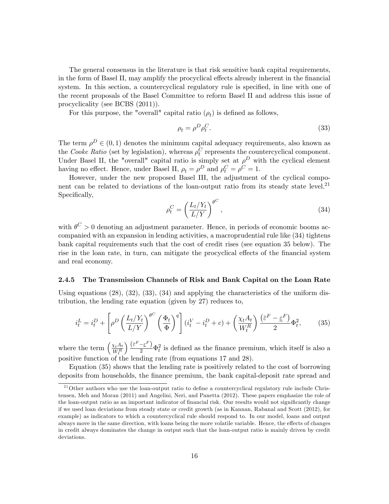The general consensus in the literature is that risk sensitive bank capital requirements, in the form of Basel II, may amplify the procyclical effects already inherent in the financial system. In this section, a countercyclical regulatory rule is specified, in line with one of the recent proposals of the Basel Committee to reform Basel II and address this issue of procyclicality (see BCBS (2011)).

For this purpose, the "overall" capital ratio  $(\rho_t)$  is defined as follows,

$$
\rho_t = \rho^D \rho_t^C. \tag{33}
$$

The term  $\rho^D \in (0, 1)$  denotes the minimum capital adequacy requirements, also known as the Cooke Ratio (set by legislation), whereas  $\rho_t^C$  represents the countercyclical component. Under Basel II, the "overall" capital ratio is simply set at  $\rho^D$  with the cyclical element having no effect. Hence, under Basel II,  $\rho_t = \rho^D$  and  $\rho_t^C = \rho^C = 1$ .

However, under the new proposed Basel III, the adjustment of the cyclical component can be related to deviations of the loan-output ratio from its steady state level. $^{21}$ Specifically,

$$
\rho_t^C = \left(\frac{L_t/Y_t}{L/Y}\right)^{\theta^C},\tag{34}
$$

with  $\theta^C > 0$  denoting an adjustment parameter. Hence, in periods of economic booms accompanied with an expansion in lending activities, a macroprudential rule like (34) tightens bank capital requirements such that the cost of credit rises (see equation 35 below). The rise in the loan rate, in turn, can mitigate the procyclical effects of the financial system and real economy.

### 2.4.5 The Transmission Channels of Risk and Bank Capital on the Loan Rate

Using equations  $(28)$ ,  $(32)$ ,  $(33)$ ,  $(34)$  and applying the characteristics of the uniform distribution, the lending rate equation (given by 27) reduces to,

$$
i_t^L = i_t^D + \left[\rho^D \left(\frac{L_t/Y_t}{L/Y}\right)^{\theta^C} \left(\frac{\Phi_t}{\Phi}\right)^q\right] (i_t^V - i_t^D + c) + \left(\frac{\chi_t A_t}{W_t^R}\right) \frac{(\bar{\varepsilon}^F - \underline{\varepsilon}^F)}{2} \Phi_t^2, \tag{35}
$$

where the term  $\left(\frac{\chi_t A_t}{W_R}\right)$  $W_t^R$  $\left(\frac{\bar{\varepsilon}^F - \varepsilon^F}{2}\right)\Phi_t^2$  is defined as the finance premium, which itself is also a positive function of the lending rate (from equations 17 and 28).

Equation (35) shows that the lending rate is positively related to the cost of borrowing deposits from households, the finance premium, the bank capital-deposit rate spread and

 $21$ Other authors who use the loan-output ratio to define a countercyclical regulatory rule include Christensen, Meh and Moran (2011) and Angelini, Neri, and Panetta (2012). These papers emphasize the role of the loan-output ratio as an important indicator of financial risk. Our results would not significantly change if we used loan deviations from steady state or credit growth (as in Kannan, Rabanal and Scott (2012), for example) as indicators to which a countercyclical rule should respond to. In our model, loans and output always move in the same direction, with loans being the more volatile variable. Hence, the effects of changes in credit always dominates the change in output such that the loan-output ratio is mainly driven by credit deviations.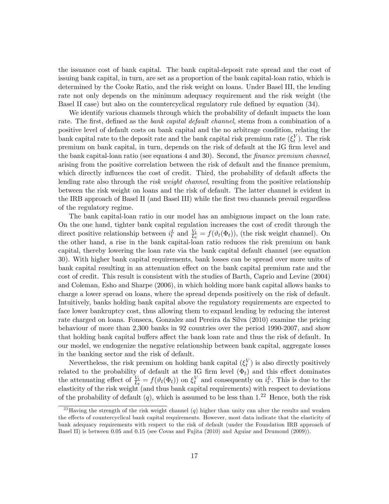the issuance cost of bank capital. The bank capital-deposit rate spread and the cost of issuing bank capital, in turn, are set as a proportion of the bank capital-loan ratio, which is determined by the Cooke Ratio, and the risk weight on loans. Under Basel III, the lending rate not only depends on the minimum adequacy requirement and the risk weight (the Basel II case) but also on the countercyclical regulatory rule defined by equation (34).

We identify various channels through which the probability of default impacts the loan rate. The first, defined as the *bank capital default channel*, stems from a combination of a positive level of default costs on bank capital and the no arbitrage condition, relating the bank capital rate to the deposit rate and the bank capital risk premium rate  $(\xi_t^V)$ . The risk premium on bank capital, in turn, depends on the risk of default at the IG firm level and the bank capital-loan ratio (see equations  $4$  and  $30$ ). Second, the *finance premium channel*, arising from the positive correlation between the risk of default and the finance premium, which directly influences the cost of credit. Third, the probability of default affects the lending rate also through the *risk weight channel*, resulting from the positive relationship between the risk weight on loans and the risk of default. The latter channel is evident in the IRB approach of Basel II (and Basel III) while the first two channels prevail regardless of the regulatory regime.

The bank capital-loan ratio in our model has an ambiguous impact on the loan rate. On the one hand, tighter bank capital regulation increases the cost of credit through the direct positive relationship between  $i_t^L$  and  $\frac{V_t}{L_t} = f(\vartheta_t(\Phi_t))$ , (the risk weight channel). On the other hand, a rise in the bank capital-loan ratio reduces the risk premium on bank capital, thereby lowering the loan rate via the bank capital default channel (see equation 30). With higher bank capital requirements, bank losses can be spread over more units of bank capital resulting in an attenuation effect on the bank capital premium rate and the cost of credit. This result is consistent with the studies of Barth, Caprio and Levine (2004) and Coleman, Esho and Sharpe (2006), in which holding more bank capital allows banks to charge a lower spread on loans, where the spread depends positively on the risk of default. Intuitively, banks holding bank capital above the regulatory requirements are expected to face lower bankruptcy cost, thus allowing them to expand lending by reducing the interest rate charged on loans. Fonseca, Gonzalez and Pereira da Silva (2010) examine the pricing behaviour of more than 2,300 banks in 92 countries over the period 1990-2007, and show that holding bank capital buffers affect the bank loan rate and thus the risk of default. In our model, we endogenize the negative relationship between bank capital, aggregate losses in the banking sector and the risk of default.

Nevertheless, the risk premium on holding bank capital  $(\xi_t^V)$  is also directly positively t related to the probability of default at the IG firm level  $(\Phi_t)$  and this effect dominates the attenuating effect of  $\frac{V_t}{L_t} = f(\vartheta_t(\Phi_t))$  on  $\xi_t^V$  and consequently on  $i_t^L$ . This is due to the elasticity of the risk weight (and thus bank capital requirements) with respect to deviations of the probability of default  $(q)$ , which is assumed to be less than  $1<sup>22</sup>$  Hence, both the risk

<sup>&</sup>lt;sup>22</sup>Having the strength of the risk weight channel (q) higher than unity can alter the results and weaken the effects of countercyclical bank capital requirements. However, most data indicate that the elasticity of bank adequacy requirements with respect to the risk of default (under the Foundation IRB approach of Basel II) is between 0.05 and 0.15 (see Covas and Fujita (2010) and Aguiar and Drumond (2009)).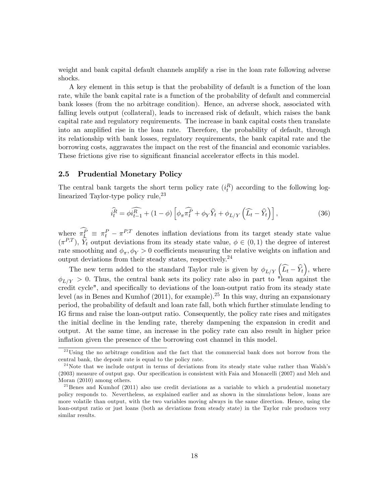weight and bank capital default channels amplify a rise in the loan rate following adverse shocks.

A key element in this setup is that the probability of default is a function of the loan rate, while the bank capital rate is a function of the probability of default and commercial bank losses (from the no arbitrage condition). Hence, an adverse shock, associated with falling levels output (collateral), leads to increased risk of default, which raises the bank capital rate and regulatory requirements. The increase in bank capital costs then translate into an amplified rise in the loan rate. Therefore, the probability of default, through its relationship with bank losses, regulatory requirements, the bank capital rate and the borrowing costs, aggravates the impact on the rest of the Önancial and economic variables. These frictions give rise to significant financial accelerator effects in this model.

#### 2.5 Prudential Monetary Policy

The central bank targets the short term policy rate  $(i_t^R)$  according to the following loglinearized Taylor-type policy rule,  $23$ 

$$
\widehat{i_t^R} = \widehat{\phi_i^R}_{t-1} + (1 - \phi) \left[ \phi_\pi \widehat{\pi_t^P} + \phi_Y \widehat{Y}_t + \phi_{L/Y} \left( \widehat{L_t} - \widehat{Y}_t \right) \right],\tag{36}
$$

where  $\pi_k^P \equiv \pi_t^P - \pi^{P,T}$  denotes inflation deviations from its target steady state value  $(\pi^{P,T})$ ,  $\hat{Y}_t$  output deviations from its steady state value,  $\phi \in (0,1)$  the degree of interest rate smoothing and  $\phi_{\pi}, \phi_{Y} > 0$  coefficients measuring the relative weights on inflation and output deviations from their steady states, respectively.<sup>24</sup>

The new term added to the standard Taylor rule is given by  $\phi_{L/Y}(\widehat{L_t}-\widehat{Y}_t)$ , where  $\phi_{L/Y} > 0$ . Thus, the central bank sets its policy rate also in part to "lean against the credit cycle", and specifically to deviations of the loan-output ratio from its steady state level (as in Benes and Kumhof  $(2011)$ , for example).<sup>25</sup> In this way, during an expansionary period, the probability of default and loan rate fall, both which further stimulate lending to IG firms and raise the loan-output ratio. Consequently, the policy rate rises and mitigates the initial decline in the lending rate, thereby dampening the expansion in credit and output. At the same time, an increase in the policy rate can also result in higher price inflation given the presence of the borrowing cost channel in this model.

<sup>&</sup>lt;sup>23</sup>Using the no arbitrage condition and the fact that the commercial bank does not borrow from the central bank, the deposit rate is equal to the policy rate.

 $2<sup>4</sup>$ Note that we include output in terms of deviations from its steady state value rather than Walsh's (2003) measure of output gap. Our specification is consistent with Faia and Monacelli (2007) and Meh and Moran (2010) among others.

 $^{25}$ Benes and Kumhof (2011) also use credit deviations as a variable to which a prudential monetary policy responds to. Nevertheless, as explained earlier and as shown in the simulations below, loans are more volatile than output, with the two variables moving always in the same direction. Hence, using the loan-output ratio or just loans (both as deviations from steady state) in the Taylor rule produces very similar results.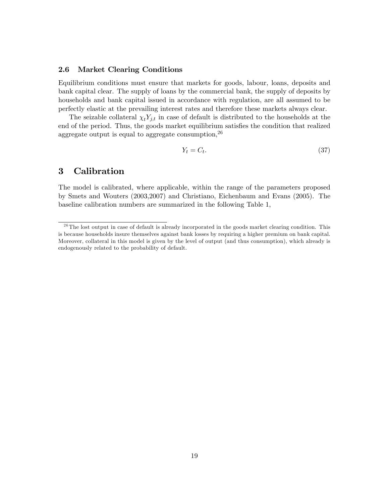# 2.6 Market Clearing Conditions

Equilibrium conditions must ensure that markets for goods, labour, loans, deposits and bank capital clear. The supply of loans by the commercial bank, the supply of deposits by households and bank capital issued in accordance with regulation, are all assumed to be perfectly elastic at the prevailing interest rates and therefore these markets always clear.

The seizable collateral  $\chi_t Y_{j,t}$  in case of default is distributed to the households at the end of the period. Thus, the goods market equilibrium satisfies the condition that realized aggregate output is equal to aggregate consumption,<sup>26</sup>

$$
Y_t = C_t. \tag{37}
$$

# 3 Calibration

The model is calibrated, where applicable, within the range of the parameters proposed by Smets and Wouters (2003,2007) and Christiano, Eichenbaum and Evans (2005). The baseline calibration numbers are summarized in the following Table 1,

 $26$ The lost output in case of default is already incorporated in the goods market clearing condition. This is because households insure themselves against bank losses by requiring a higher premium on bank capital. Moreover, collateral in this model is given by the level of output (and thus consumption), which already is endogenously related to the probability of default.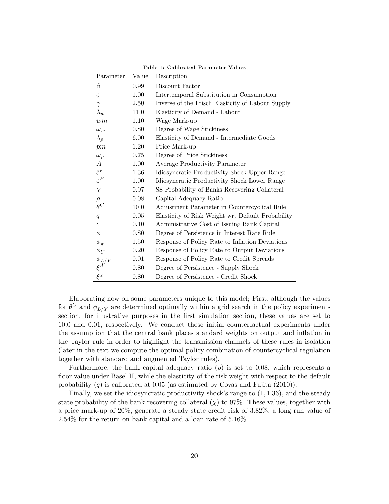| Parameter                   | Value | Description                                       |
|-----------------------------|-------|---------------------------------------------------|
| $\beta$                     | 0.99  | Discount Factor                                   |
| $\varsigma$                 | 1.00  | Intertemporal Substitution in Consumption         |
| $\gamma$                    | 2.50  | Inverse of the Frisch Elasticity of Labour Supply |
| $\lambda_w$                 | 11.0  | Elasticity of Demand - Labour                     |
| wm                          | 1.10  | Wage Mark-up                                      |
| $\omega_{w}$                | 0.80  | Degree of Wage Stickiness                         |
| $\lambda_p$                 | 6.00  | Elasticity of Demand - Intermediate Goods         |
| pm                          | 1.20  | Price Mark-up                                     |
| $\omega_p$                  | 0.75  | Degree of Price Stickiness                        |
| А                           | 1.00  | Average Productivity Parameter                    |
| $\bar{\varepsilon}^F$       | 1.36  | Idiosyncratic Productivity Shock Upper Range      |
| $\underline{\varepsilon}^F$ | 1.00  | Idiosyncratic Productivity Shock Lower Range      |
| $\chi$                      | 0.97  | SS Probability of Banks Recovering Collateral     |
| $\rho$                      | 0.08  | Capital Adequacy Ratio                            |
| $\theta^C$                  | 10.0  | Adjustment Parameter in Countercyclical Rule      |
| q                           | 0.05  | Elasticity of Risk Weight wrt Default Probability |
| $\overline{c}$              | 0.10  | Administrative Cost of Issuing Bank Capital       |
| $\phi$                      | 0.80  | Degree of Persistence in Interest Rate Rule       |
| $\phi_{\pi}$                | 1.50  | Response of Policy Rate to Inflation Deviations   |
| $\phi_Y$                    | 0.20  | Response of Policy Rate to Output Deviations      |
|                             | 0.01  | Response of Policy Rate to Credit Spreads         |
| $\frac{\phi_{L/Y}}{\xi^A}$  | 0.80  | Degree of Persistence - Supply Shock              |
| $\xi^{\chi}$                | 0.80  | Degree of Persistence - Credit Shock              |

Table 1: Calibrated Parameter Values

Elaborating now on some parameters unique to this model; First, although the values for  $\theta^C$  and  $\phi_{L/Y}$  are determined optimally within a grid search in the policy experiments section, for illustrative purposes in the first simulation section, these values are set to 10:0 and 0:01, respectively. We conduct these initial counterfactual experiments under the assumption that the central bank places standard weights on output and ináation in the Taylor rule in order to highlight the transmission channels of these rules in isolation (later in the text we compute the optimal policy combination of countercyclical regulation together with standard and augmented Taylor rules).

Furthermore, the bank capital adequacy ratio ( $\rho$ ) is set to 0.08, which represents a floor value under Basel II, while the elasticity of the risk weight with respect to the default probability  $(q)$  is calibrated at 0.05 (as estimated by Covas and Fujita  $(2010)$ ).

Finally, we set the idiosyncratic productivity shock's range to  $(1, 1.36)$ , and the steady state probability of the bank recovering collateral  $(\chi)$  to 97%. These values, together with a price mark-up of 20%, generate a steady state credit risk of 3:82%, a long run value of  $2.54\%$  for the return on bank capital and a loan rate of  $5.16\%$ .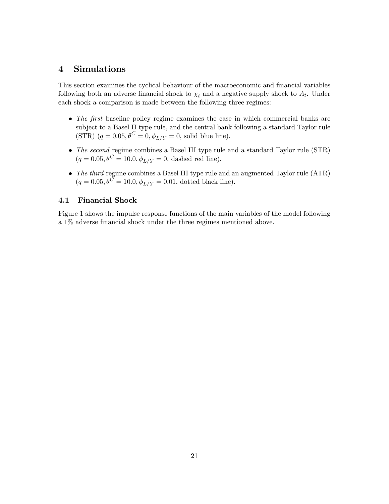# 4 Simulations

This section examines the cyclical behaviour of the macroeconomic and financial variables following both an adverse financial shock to  $\chi_t$  and a negative supply shock to  $A_t$ . Under each shock a comparison is made between the following three regimes:

- $\bullet$  The first baseline policy regime examines the case in which commercial banks are subject to a Basel II type rule, and the central bank following a standard Taylor rule (STR)  $(q = 0.05, \theta^C = 0, \phi_{L/Y} = 0$ , solid blue line).
- The second regime combines a Basel III type rule and a standard Taylor rule (STR)  $(q = 0.05, \theta^C = 10.0, \phi_{L/Y} = 0,$  dashed red line).
- The third regime combines a Basel III type rule and an augmented Taylor rule (ATR)  $(q = 0.05, \theta^{\overline{C}} = 10.0, \phi_{L/Y} = 0.01,$  dotted black line).

# 4.1 Financial Shock

Figure 1 shows the impulse response functions of the main variables of the model following a 1% adverse financial shock under the three regimes mentioned above.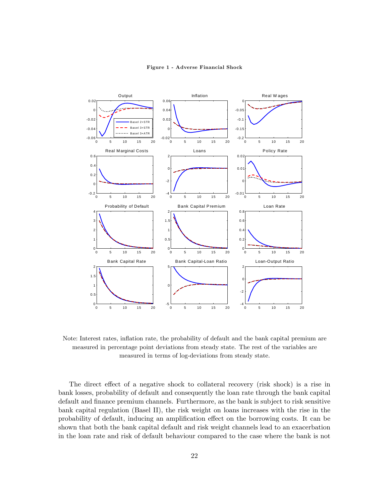

Figure 1 - Adverse Financial Shock

Note: Interest rates, inflation rate, the probability of default and the bank capital premium are measured in percentage point deviations from steady state. The rest of the variables are measured in terms of log-deviations from steady state.

The direct effect of a negative shock to collateral recovery (risk shock) is a rise in bank losses, probability of default and consequently the loan rate through the bank capital default and finance premium channels. Furthermore, as the bank is subject to risk sensitive bank capital regulation (Basel II), the risk weight on loans increases with the rise in the probability of default, inducing an amplification effect on the borrowing costs. It can be shown that both the bank capital default and risk weight channels lead to an exacerbation in the loan rate and risk of default behaviour compared to the case where the bank is not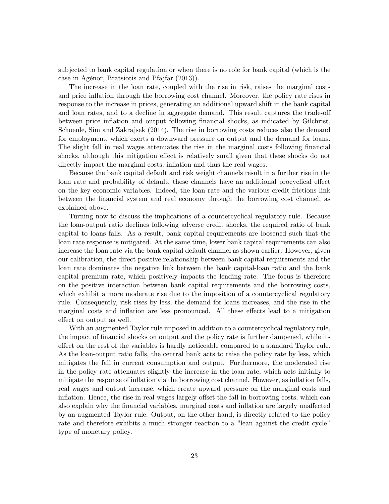subjected to bank capital regulation or when there is no role for bank capital (which is the case in AgÈnor, Bratsiotis and Pfajfar (2013)).

The increase in the loan rate, coupled with the rise in risk, raises the marginal costs and price inflation through the borrowing cost channel. Moreover, the policy rate rises in response to the increase in prices, generating an additional upward shift in the bank capital and loan rates, and to a decline in aggregate demand. This result captures the trade-off between price inflation and output following financial shocks, as indicated by Gilchrist, Schoenle, Sim and Zakrajsek (2014). The rise in borrowing costs reduces also the demand for employment, which exerts a downward pressure on output and the demand for loans. The slight fall in real wages attenuates the rise in the marginal costs following financial shocks, although this mitigation effect is relatively small given that these shocks do not directly impact the marginal costs, inflation and thus the real wages.

Because the bank capital default and risk weight channels result in a further rise in the loan rate and probability of default, these channels have an additional procyclical effect on the key economic variables. Indeed, the loan rate and the various credit frictions link between the Önancial system and real economy through the borrowing cost channel, as explained above.

Turning now to discuss the implications of a countercyclical regulatory rule. Because the loan-output ratio declines following adverse credit shocks, the required ratio of bank capital to loans falls. As a result, bank capital requirements are loosened such that the loan rate response is mitigated. At the same time, lower bank capital requirements can also increase the loan rate via the bank capital default channel as shown earlier. However, given our calibration, the direct positive relationship between bank capital requirements and the loan rate dominates the negative link between the bank capital-loan ratio and the bank capital premium rate, which positively impacts the lending rate. The focus is therefore on the positive interaction between bank capital requirements and the borrowing costs, which exhibit a more moderate rise due to the imposition of a countercyclical regulatory rule. Consequently, risk rises by less, the demand for loans increases, and the rise in the marginal costs and inflation are less pronounced. All these effects lead to a mitigation effect on output as well.

With an augmented Taylor rule imposed in addition to a countercyclical regulatory rule, the impact of financial shocks on output and the policy rate is further dampened, while its effect on the rest of the variables is hardly noticeable compared to a standard Taylor rule. As the loan-output ratio falls, the central bank acts to raise the policy rate by less, which mitigates the fall in current consumption and output. Furthermore, the moderated rise in the policy rate attenuates slightly the increase in the loan rate, which acts initially to mitigate the response of inflation via the borrowing cost channel. However, as inflation falls, real wages and output increase, which create upward pressure on the marginal costs and inflation. Hence, the rise in real wages largely offset the fall in borrowing costs, which can also explain why the financial variables, marginal costs and inflation are largely unaffected by an augmented Taylor rule. Output, on the other hand, is directly related to the policy rate and therefore exhibits a much stronger reaction to a "lean against the credit cycle" type of monetary policy.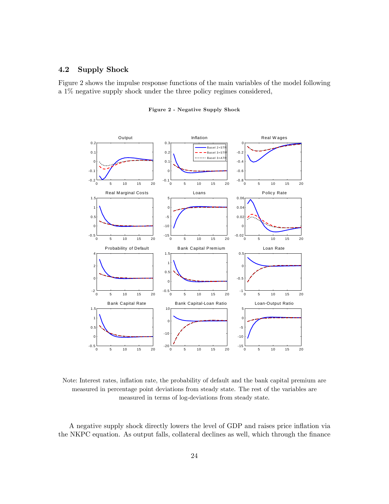# 4.2 Supply Shock

Figure 2 shows the impulse response functions of the main variables of the model following a 1% negative supply shock under the three policy regimes considered,



Figure 2 - Negative Supply Shock

Note: Interest rates, inflation rate, the probability of default and the bank capital premium are measured in percentage point deviations from steady state. The rest of the variables are measured in terms of log-deviations from steady state.

A negative supply shock directly lowers the level of GDP and raises price ináation via the NKPC equation. As output falls, collateral declines as well, which through the finance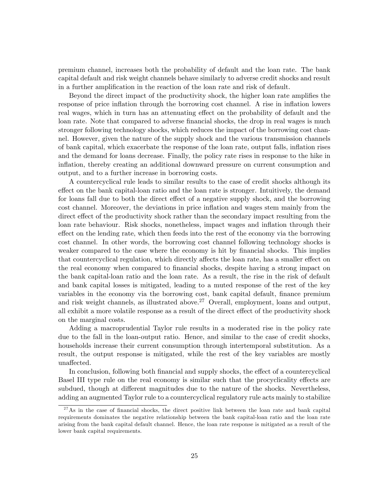premium channel, increases both the probability of default and the loan rate. The bank capital default and risk weight channels behave similarly to adverse credit shocks and result in a further amplification in the reaction of the loan rate and risk of default.

Beyond the direct impact of the productivity shock, the higher loan rate amplifies the response of price inflation through the borrowing cost channel. A rise in inflation lowers real wages, which in turn has an attenuating effect on the probability of default and the loan rate. Note that compared to adverse financial shocks, the drop in real wages is much stronger following technology shocks, which reduces the impact of the borrowing cost channel. However, given the nature of the supply shock and the various transmission channels of bank capital, which exacerbate the response of the loan rate, output falls, ináation rises and the demand for loans decrease. Finally, the policy rate rises in response to the hike in inflation, thereby creating an additional downward pressure on current consumption and output, and to a further increase in borrowing costs.

A countercyclical rule leads to similar results to the case of credit shocks although its effect on the bank capital-loan ratio and the loan rate is stronger. Intuitively, the demand for loans fall due to both the direct effect of a negative supply shock, and the borrowing cost channel. Moreover, the deviations in price inflation and wages stem mainly from the direct effect of the productivity shock rather than the secondary impact resulting from the loan rate behaviour. Risk shocks, nonetheless, impact wages and inflation through their effect on the lending rate, which then feeds into the rest of the economy via the borrowing cost channel. In other words, the borrowing cost channel following technology shocks is weaker compared to the case where the economy is hit by financial shocks. This implies that countercyclical regulation, which directly affects the loan rate, has a smaller effect on the real economy when compared to financial shocks, despite having a strong impact on the bank capital-loan ratio and the loan rate. As a result, the rise in the risk of default and bank capital losses is mitigated, leading to a muted response of the rest of the key variables in the economy via the borrowing cost, bank capital default, finance premium and risk weight channels, as illustrated above.<sup>27</sup> Overall, employment, loans and output, all exhibit a more volatile response as a result of the direct effect of the productivity shock on the marginal costs.

Adding a macroprudential Taylor rule results in a moderated rise in the policy rate due to the fall in the loan-output ratio. Hence, and similar to the case of credit shocks, households increase their current consumption through intertemporal substitution. As a result, the output response is mitigated, while the rest of the key variables are mostly unaffected.

In conclusion, following both financial and supply shocks, the effect of a countercyclical Basel III type rule on the real economy is similar such that the procyclicality effects are subdued, though at different magnitudes due to the nature of the shocks. Nevertheless, adding an augmented Taylor rule to a countercyclical regulatory rule acts mainly to stabilize

 $27$ As in the case of financial shocks, the direct positive link between the loan rate and bank capital requirements dominates the negative relationship between the bank capital-loan ratio and the loan rate arising from the bank capital default channel. Hence, the loan rate response is mitigated as a result of the lower bank capital requirements.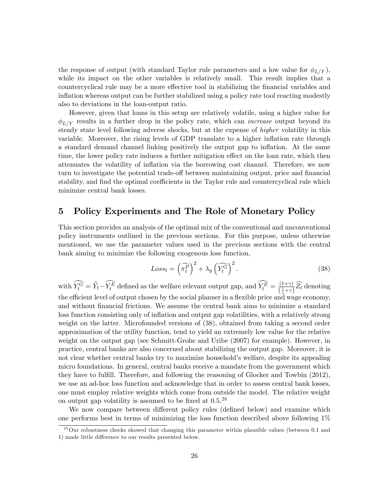the response of output (with standard Taylor rule parameters and a low value for  $\phi_{L/Y}$ ), while its impact on the other variables is relatively small. This result implies that a countercyclical rule may be a more effective tool in stabilizing the financial variables and inflation whereas output can be further stabilized using a policy rate tool reacting modestly also to deviations in the loan-output ratio.

However, given that loans in this setup are relatively volatile, using a higher value for  $\phi_{L/Y}$  results in a further drop in the policy rate, which can *increase* output beyond its steady state level following adverse shocks, but at the expense of higher volatility in this variable. Moreover, the rising levels of GDP translate to a higher inflation rate through a standard demand channel linking positively the output gap to inflation. At the same time, the lower policy rate induces a further mitigation effect on the loan rate, which then attenuates the volatility of ináation via the borrowing cost channel. Therefore, we now turn to investigate the potential trade-off between maintaining output, price and financial stability, and find the optimal coefficients in the Taylor rule and countercyclical rule which minimize central bank losses.

# 5 Policy Experiments and The Role of Monetary Policy

This section provides an analysis of the optimal mix of the conventional and unconventional policy instruments outlined in the previous sections. For this purpose, unless otherwise mentioned, we use the parameter values used in the previous sections with the central bank aiming to minimize the following exogenous loss function,

$$
Loss_t = \left(\widehat{\pi_t^P}\right)^2 + \lambda_y \left(\widehat{Y_t^G}\right)^2. \tag{38}
$$

with  $\widehat{Y}_t^{\widetilde{G}} = \widehat{Y}_t - \widehat{Y}_t^{\widetilde{E}}$  defined as the welfare relevant output gap, and  $\widehat{Y}_t^{\widetilde{E}} = \frac{(1+\gamma)}{(\frac{1}{2}+\gamma)^2}$  $\frac{(1+\gamma)}{\left(\frac{1}{\varsigma}+\gamma\right)}Z_t$  denoting the efficient level of output chosen by the social planner in a flexible price and wage economy, and without Önancial frictions. We assume the central bank aims to minimize a standard loss function consisting only of inflation and output gap volatilities, with a relatively strong weight on the latter. Microfounded versions of (38), obtained from taking a second order approximation of the utility function, tend to yield an extremely low value for the relative weight on the output gap (see Schmitt-Grohe and Uribe (2007) for example). However, in practice, central banks are also concerned about stabilizing the output gap. Moreover, it is not clear whether central banks try to maximize household's welfare, despite its appealing micro foundations. In general, central banks receive a mandate from the government which they have to fulfill. Therefore, and following the reasoning of Glocker and Towbin (2012), we use an ad-hoc loss function and acknowledge that in order to assess central bank losses, one must employ relative weights which come from outside the model. The relative weight on output gap volatility is assumed to be fixed at  $0.5.^{28}$ 

We now compare between different policy rules (defined below) and examine which one performs best in terms of minimizing the loss function described above following 1%

 $^{28}$ Our robustness checks showed that changing this parameter within plausible values (between 0.1 and 1) made little difference to our results presented below.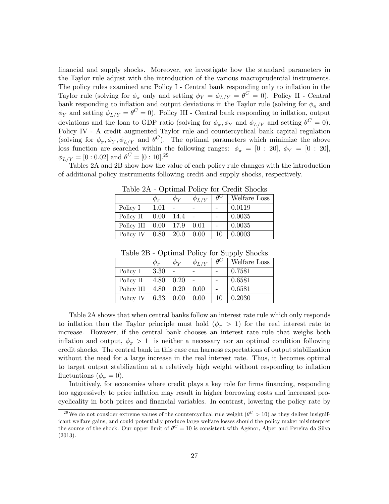financial and supply shocks. Moreover, we investigate how the standard parameters in the Taylor rule adjust with the introduction of the various macroprudential instruments. The policy rules examined are: Policy I - Central bank responding only to inflation in the Taylor rule (solving for  $\phi_{\pi}$  only and setting  $\phi_{Y} = \phi_{L/Y} = \theta^{C} = 0$ ). Policy II - Central bank responding to inflation and output deviations in the Taylor rule (solving for  $\phi_{\pi}$  and  $\phi_Y$  and setting  $\phi_{L/Y} = \theta^C = 0$ . Policy III - Central bank responding to inflation, output deviations and the loan to GDP ratio (solving for  $\phi_{\pi}, \phi_Y$  and  $\phi_{L/Y}$  and setting  $\theta^C = 0$ ). Policy IV - A credit augmented Taylor rule and countercyclical bank capital regulation (solving for  $\phi_{\pi}, \phi_Y, \phi_{L/Y}$  and  $\theta^C$ ). The optimal parameters which minimize the above loss function are searched within the following ranges:  $\phi_{\pi} = [0:20], \ \phi_{Y} = [0:20],$  $\phi_{L/Y} = [0:0.02] \text{ and } \theta^C = [0:10].^{29}$ 

Tables 2A and 2B show how the value of each policy rule changes with the introduction of additional policy instruments following credit and supply shocks, respectively.

|            |          | $\phi_{\bm{V}}$ | $\phi_{L/Y}$ | $\theta^{\vee}$ | Welfare Loss |  |
|------------|----------|-----------------|--------------|-----------------|--------------|--|
| Policy I   | $1.01\,$ |                 |              |                 | 0.0119       |  |
| Policy II  | 0.00     | 14.4            |              |                 | 0.0035       |  |
| Policy III | 0.00     | 17.9            | 0.01         |                 | 0.0035       |  |
| Policy IV  | 0.80     | <b>20.0</b>     | 0.00         | 10              | 0.0003       |  |

Table 2A - Optimal Policy for Credit Shocks

| Table 2B - Optimal Policy for Supply Shocks |  |  |  |
|---------------------------------------------|--|--|--|
|---------------------------------------------|--|--|--|

|            | $\varphi_{\boldsymbol{\pi}}$ | $\phi_Y$ | $\phi_{L/Y}$ | $\theta^{\mathsf{c}}$ | Welfare Loss |
|------------|------------------------------|----------|--------------|-----------------------|--------------|
| Policy I   | 3.30                         |          |              |                       | 0.7581       |
| Policy II  | 4.80                         | 0.20     |              |                       | 0.6581       |
| Policy III | 4.80                         | 0.20     | 0.00         |                       | 0.6581       |
| Policy IV  | 6.33                         | 0.00     | 0.00         | 10                    | 0.2030       |

Table 2A shows that when central banks follow an interest rate rule which only responds to inflation then the Taylor principle must hold  $(\phi_{\pi} > 1)$  for the real interest rate to increase. However, if the central bank chooses an interest rate rule that weighs both inflation and output,  $\phi_{\pi} > 1$  is neither a necessary nor an optimal condition following credit shocks. The central bank in this case can harness expectations of output stabilization without the need for a large increase in the real interest rate. Thus, it becomes optimal to target output stabilization at a relatively high weight without responding to inflation fluctuations ( $\phi_{\pi} = 0$ ).

Intuitively, for economies where credit plays a key role for firms financing, responding too aggressively to price ináation may result in higher borrowing costs and increased procyclicality in both prices and financial variables. In contrast, lowering the policy rate by

<sup>&</sup>lt;sup>29</sup>We do not consider extreme values of the countercyclical rule weight  $(\theta^C > 10)$  as they deliver insignificant welfare gains, and could potentially produce large welfare losses should the policy maker misinterpret the source of the shock. Our upper limit of  $\theta^C = 10$  is consistent with Agénor, Alper and Pereira da Silva (2013).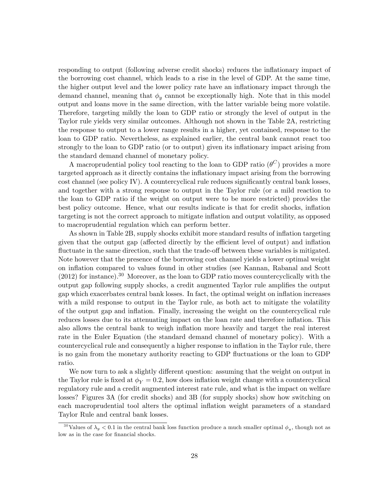responding to output (following adverse credit shocks) reduces the ináationary impact of the borrowing cost channel, which leads to a rise in the level of GDP. At the same time, the higher output level and the lower policy rate have an inflationary impact through the demand channel, meaning that  $\phi_y$  cannot be exceptionally high. Note that in this model output and loans move in the same direction, with the latter variable being more volatile. Therefore, targeting mildly the loan to GDP ratio or strongly the level of output in the Taylor rule yields very similar outcomes. Although not shown in the Table 2A, restricting the response to output to a lower range results in a higher, yet contained, response to the loan to GDP ratio. Nevertheless, as explained earlier, the central bank cannot react too strongly to the loan to GDP ratio (or to output) given its inflationary impact arising from the standard demand channel of monetary policy.

A macroprudential policy tool reacting to the loan to GDP ratio  $(\theta^C)$  provides a more targeted approach as it directly contains the inflationary impact arising from the borrowing  $\cot$  channel (see policy IV). A countercyclical rule reduces significantly central bank losses, and together with a strong response to output in the Taylor rule (or a mild reaction to the loan to GDP ratio if the weight on output were to be more restricted) provides the best policy outcome. Hence, what our results indicate is that for credit shocks, inflation targeting is not the correct approach to mitigate ináation and output volatility, as opposed to macroprudential regulation which can perform better.

As shown in Table 2B, supply shocks exhibit more standard results of inflation targeting given that the output gap (affected directly by the efficient level of output) and inflation fluctuate in the same direction, such that the trade-off between these variables is mitigated. Note however that the presence of the borrowing cost channel yields a lower optimal weight on ináation compared to values found in other studies (see Kannan, Rabanal and Scott  $(2012)$  for instance).<sup>30</sup> Moreover, as the loan to GDP ratio moves countercyclically with the output gap following supply shocks, a credit augmented Taylor rule amplifies the output gap which exacerbates central bank losses. In fact, the optimal weight on ináation increases with a mild response to output in the Taylor rule, as both act to mitigate the volatility of the output gap and ináation. Finally, increasing the weight on the countercyclical rule reduces losses due to its attenuating impact on the loan rate and therefore inflation. This also allows the central bank to weigh ináation more heavily and target the real interest rate in the Euler Equation (the standard demand channel of monetary policy). With a countercyclical rule and consequently a higher response to inflation in the Taylor rule, there is no gain from the monetary authority reacting to GDP fluctuations or the loan to GDP ratio.

We now turn to ask a slightly different question: assuming that the weight on output in the Taylor rule is fixed at  $\phi_Y = 0.2$ , how does inflation weight change with a countercyclical regulatory rule and a credit augmented interest rate rule, and what is the impact on welfare losses? Figures 3A (for credit shocks) and 3B (for supply shocks) show how switching on each macroprudential tool alters the optimal inflation weight parameters of a standard Taylor Rule and central bank losses.

<sup>&</sup>lt;sup>30</sup>Values of  $\lambda_y < 0.1$  in the central bank loss function produce a much smaller optimal  $\phi_{\pi}$ , though not as low as in the case for financial shocks.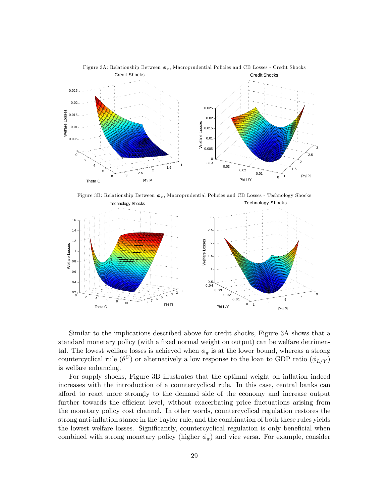

Figure 3A: Relationship Between  $\phi_{\pi}$ , Macroprudential Policies and CB Losses - Credit Shocks

Figure 3B: Relationship Between  $\phi_{\pi}$ , Macroprudential Policies and CB Losses - Technology Shocks



Similar to the implications described above for credit shocks, Figure 3A shows that a standard monetary policy (with a fixed normal weight on output) can be welfare detrimental. The lowest welfare losses is achieved when  $\phi_{\pi}$  is at the lower bound, whereas a strong countercyclical rule  $(\theta^C)$  or alternatively a low response to the loan to GDP ratio  $(\phi_{L/Y})$ is welfare enhancing.

For supply shocks, Figure 3B illustrates that the optimal weight on inflation indeed increases with the introduction of a countercyclical rule. In this case, central banks can afford to react more strongly to the demand side of the economy and increase output further towards the efficient level, without exacerbating price fluctuations arising from the monetary policy cost channel. In other words, countercyclical regulation restores the strong anti-inflation stance in the Taylor rule, and the combination of both these rules yields the lowest welfare losses. Significantly, countercyclical regulation is only beneficial when combined with strong monetary policy (higher  $\phi_{\pi}$ ) and vice versa. For example, consider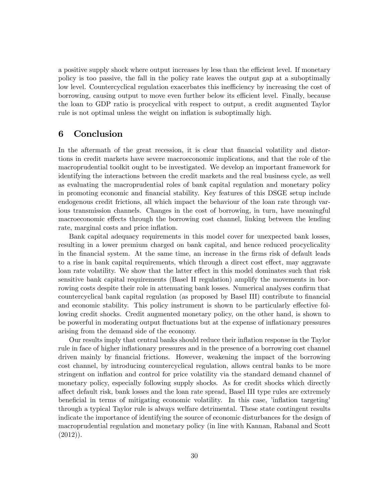a positive supply shock where output increases by less than the efficient level. If monetary policy is too passive, the fall in the policy rate leaves the output gap at a suboptimally low level. Countercyclical regulation exacerbates this inefficiency by increasing the cost of borrowing, causing output to move even further below its efficient level. Finally, because the loan to GDP ratio is procyclical with respect to output, a credit augmented Taylor rule is not optimal unless the weight on inflation is suboptimally high.

# 6 Conclusion

In the aftermath of the great recession, it is clear that financial volatility and distortions in credit markets have severe macroeconomic implications, and that the role of the macroprudential toolkit ought to be investigated. We develop an important framework for identifying the interactions between the credit markets and the real business cycle, as well as evaluating the macroprudential roles of bank capital regulation and monetary policy in promoting economic and Önancial stability. Key features of this DSGE setup include endogenous credit frictions, all which impact the behaviour of the loan rate through various transmission channels. Changes in the cost of borrowing, in turn, have meaningful macroeconomic effects through the borrowing cost channel, linking between the lending rate, marginal costs and price inflation.

Bank capital adequacy requirements in this model cover for unexpected bank losses, resulting in a lower premium charged on bank capital, and hence reduced procyclicality in the financial system. At the same time, an increase in the firms risk of default leads to a rise in bank capital requirements, which through a direct cost effect, may aggravate loan rate volatility. We show that the latter effect in this model dominates such that risk sensitive bank capital requirements (Basel II regulation) amplify the movements in borrowing costs despite their role in attenuating bank losses. Numerical analyses confirm that countercyclical bank capital regulation (as proposed by Basel III) contribute to financial and economic stability. This policy instrument is shown to be particularly effective following credit shocks. Credit augmented monetary policy, on the other hand, is shown to be powerful in moderating output fluctuations but at the expense of inflationary pressures arising from the demand side of the economy.

Our results imply that central banks should reduce their inflation response in the Taylor rule in face of higher inflationary pressures and in the presence of a borrowing cost channel driven mainly by Önancial frictions. However, weakening the impact of the borrowing cost channel, by introducing countercyclical regulation, allows central banks to be more stringent on inflation and control for price volatility via the standard demand channel of monetary policy, especially following supply shocks. As for credit shocks which directly affect default risk, bank losses and the loan rate spread, Basel III type rules are extremely beneficial in terms of mitigating economic volatility. In this case, 'inflation targeting' through a typical Taylor rule is always welfare detrimental. These state contingent results indicate the importance of identifying the source of economic disturbances for the design of macroprudential regulation and monetary policy (in line with Kannan, Rabanal and Scott  $(2012)$ ).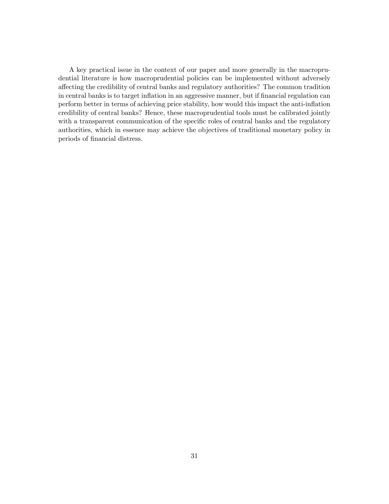A key practical issue in the context of our paper and more generally in the macroprudential literature is how macroprudential policies can be implemented without adversely a§ecting the credibility of central banks and regulatory authorities? The common tradition in central banks is to target inflation in an aggressive manner, but if financial regulation can perform better in terms of achieving price stability, how would this impact the anti-inflation credibility of central banks? Hence, these macroprudential tools must be calibrated jointly with a transparent communication of the specific roles of central banks and the regulatory authorities, which in essence may achieve the objectives of traditional monetary policy in periods of financial distress.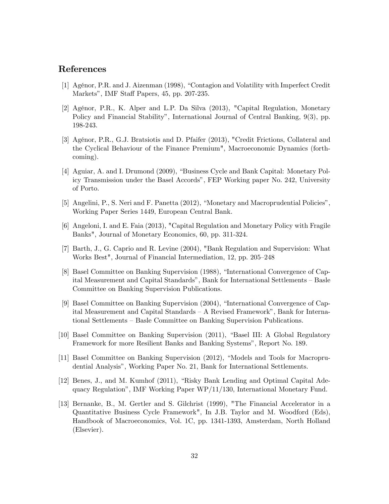# References

- [1] Agénor, P.R. and J. Aizenman (1998), "Contagion and Volatility with Imperfect Credit Markets", IMF Staff Papers, 45, pp. 207-235.
- [2] Agénor, P.R., K. Alper and L.P. Da Silva (2013), "Capital Regulation, Monetary Policy and Financial Stability", International Journal of Central Banking, 9(3), pp. 198-243.
- [3] Agénor, P.R., G.J. Bratsiotis and D. Pfaifer (2013), "Credit Frictions, Collateral and the Cyclical Behaviour of the Finance Premium", Macroeconomic Dynamics (forthcoming).
- [4] Aguiar, A. and I. Drumond (2009), "Business Cycle and Bank Capital: Monetary Policy Transmission under the Basel Accordsî, FEP Working paper No. 242, University of Porto.
- [5] Angelini, P., S. Neri and F. Panetta (2012), "Monetary and Macroprudential Policies", Working Paper Series 1449, European Central Bank.
- [6] Angeloni, I. and E. Faia (2013), "Capital Regulation and Monetary Policy with Fragile Banks", Journal of Monetary Economics, 60, pp. 311-324.
- [7] Barth, J., G. Caprio and R. Levine (2004), "Bank Regulation and Supervision: What Works Best", Journal of Financial Intermediation, 12, pp. 205–248
- [8] Basel Committee on Banking Supervision (1988), "International Convergence of Capital Measurement and Capital Standards", Bank for International Settlements – Basle Committee on Banking Supervision Publications.
- [9] Basel Committee on Banking Supervision (2004), "International Convergence of Capital Measurement and Capital Standards  $-$  A Revised Framework", Bank for International Settlements – Basle Committee on Banking Supervision Publications.
- [10] Basel Committee on Banking Supervision (2011), "Basel III: A Global Regulatory Framework for more Resilient Banks and Banking Systems", Report No. 189.
- [11] Basel Committee on Banking Supervision (2012), "Models and Tools for Macroprudential Analysisî, Working Paper No. 21, Bank for International Settlements.
- [12] Benes, J., and M. Kumhof (2011), "Risky Bank Lending and Optimal Capital Adequacy Regulationî, IMF Working Paper WP/11/130, International Monetary Fund.
- [13] Bernanke, B., M. Gertler and S. Gilchrist (1999), "The Financial Accelerator in a Quantitative Business Cycle Framework", In J.B. Taylor and M. Woodford (Eds), Handbook of Macroeconomics, Vol. 1C, pp. 1341-1393, Amsterdam, North Holland (Elsevier).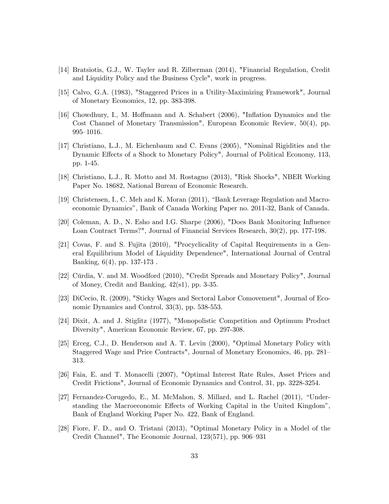- [14] Bratsiotis, G.J., W. Tayler and R. Zilberman (2014), "Financial Regulation, Credit and Liquidity Policy and the Business Cycle", work in progress.
- [15] Calvo, G.A. (1983), "Staggered Prices in a Utility-Maximizing Framework", Journal of Monetary Economics, 12, pp. 383-398.
- [16] Chowdhury, I., M. Hoffmann and A. Schabert (2006), "Inflation Dynamics and the Cost Channel of Monetary Transmission", European Economic Review, 50(4), pp.  $995 - 1016.$
- [17] Christiano, L.J., M. Eichenbaum and C. Evans (2005), "Nominal Rigidities and the Dynamic Effects of a Shock to Monetary Policy", Journal of Political Economy, 113, pp. 1-45.
- [18] Christiano, L.J., R. Motto and M. Rostagno (2013), "Risk Shocks", NBER Working Paper No. 18682, National Bureau of Economic Research.
- [19] Christensen, I., C. Meh and K. Moran (2011), "Bank Leverage Regulation and Macroeconomic Dynamicsî, Bank of Canada Working Paper no. 2011-32, Bank of Canada.
- [20] Coleman, A. D., N. Esho and I.G. Sharpe (2006), "Does Bank Monitoring Ináuence Loan Contract Terms?", Journal of Financial Services Research, 30(2), pp. 177-198.
- [21] Covas, F. and S. Fujita (2010), "Procyclicality of Capital Requirements in a General Equilibrium Model of Liquidity Dependence", International Journal of Central Banking, 6(4), pp. 137-173 .
- [22] Cúrdia, V. and M. Woodford (2010), "Credit Spreads and Monetary Policy", Journal of Money, Credit and Banking, 42(s1), pp. 3-35.
- [23] DiCecio, R. (2009), "Sticky Wages and Sectoral Labor Comovement", Journal of Economic Dynamics and Control, 33(3), pp. 538-553.
- [24] Dixit, A. and J. Stiglitz (1977), "Monopolistic Competition and Optimum Product Diversity", American Economic Review, 67, pp. 297-308.
- [25] Erceg, C.J., D. Henderson and A. T. Levin (2000), "Optimal Monetary Policy with Staggered Wage and Price Contracts", Journal of Monetary Economics, 46, pp. 281– 313.
- [26] Faia, E. and T. Monacelli (2007), "Optimal Interest Rate Rules, Asset Prices and Credit Frictions", Journal of Economic Dynamics and Control, 31, pp. 3228-3254.
- [27] Fernandez-Corugedo, E., M. McMahon, S. Millard, and L. Rachel  $(2011)$ , "Understanding the Macroeconomic Effects of Working Capital in the United Kingdom<sup>n</sup>, Bank of England Working Paper No. 422, Bank of England.
- [28] Fiore, F. D., and O. Tristani (2013), "Optimal Monetary Policy in a Model of the Credit Channel", The Economic Journal, 123(571), pp. 906–931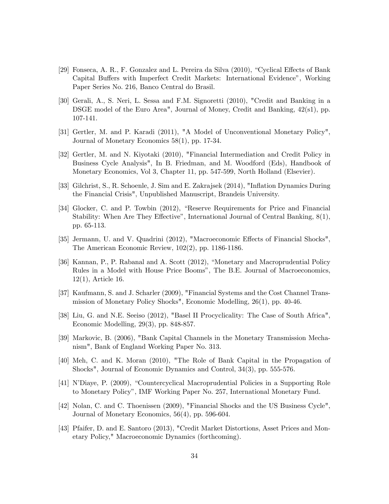- [29] Fonseca, A. R., F. Gonzalez and L. Pereira da Silva  $(2010)$ , "Cyclical Effects of Bank Capital Buffers with Imperfect Credit Markets: International Evidence<sup>n</sup>, Working Paper Series No. 216, Banco Central do Brasil.
- [30] Gerali, A., S. Neri, L. Sessa and F.M. Signoretti (2010), "Credit and Banking in a DSGE model of the Euro Area", Journal of Money, Credit and Banking, 42(s1), pp. 107-141.
- [31] Gertler, M. and P. Karadi (2011), "A Model of Unconventional Monetary Policy", Journal of Monetary Economics 58(1), pp. 17-34.
- [32] Gertler, M. and N. Kiyotaki (2010), "Financial Intermediation and Credit Policy in Business Cycle Analysis", In B. Friedman, and M. Woodford (Eds), Handbook of Monetary Economics, Vol 3, Chapter 11, pp. 547-599, North Holland (Elsevier).
- [33] Gilchrist, S., R. Schoenle, J. Sim and E. Zakrajsek (2014), "Ináation Dynamics During the Financial Crisis", Unpublished Manuscript, Brandeis University.
- [34] Glocker, C. and P. Towbin (2012), "Reserve Requirements for Price and Financial Stability: When Are They Effective", International Journal of Central Banking,  $8(1)$ , pp. 65-113.
- [35] Jermann, U. and V. Quadrini (2012), "Macroeconomic Effects of Financial Shocks", The American Economic Review, 102(2), pp. 1186-1186.
- [36] Kannan, P., P. Rabanal and A. Scott (2012), "Monetary and Macroprudential Policy Rules in a Model with House Price Boomsî, The B.E. Journal of Macroeconomics, 12(1), Article 16.
- [37] Kaufmann, S. and J. Scharler (2009), "Financial Systems and the Cost Channel Transmission of Monetary Policy Shocks", Economic Modelling, 26(1), pp. 40-46.
- [38] Liu, G. and N.E. Seeiso (2012), "Basel II Procyclicality: The Case of South Africa", Economic Modelling, 29(3), pp. 848-857.
- [39] Markovic, B. (2006), "Bank Capital Channels in the Monetary Transmission Mechanism", Bank of England Working Paper No. 313.
- [40] Meh, C. and K. Moran (2010), "The Role of Bank Capital in the Propagation of Shocks", Journal of Economic Dynamics and Control, 34(3), pp. 555-576.
- [41] N'Diaye, P. (2009), "Countercyclical Macroprudential Policies in a Supporting Role to Monetary Policyî, IMF Working Paper No. 257, International Monetary Fund.
- [42] Nolan, C. and C. Thoenissen (2009), "Financial Shocks and the US Business Cycle", Journal of Monetary Economics, 56(4), pp. 596-604.
- [43] Pfaifer, D. and E. Santoro (2013), "Credit Market Distortions, Asset Prices and Monetary Policy," Macroeconomic Dynamics (forthcoming).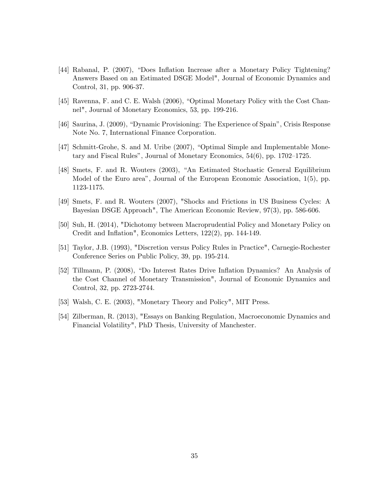- [44] Rabanal, P. (2007), "Does Inflation Increase after a Monetary Policy Tightening? Answers Based on an Estimated DSGE Model", Journal of Economic Dynamics and Control, 31, pp. 906-37.
- [45] Ravenna, F. and C. E. Walsh (2006), "Optimal Monetary Policy with the Cost Channel", Journal of Monetary Economics, 53, pp. 199-216.
- [46] Saurina, J. (2009), "Dynamic Provisioning: The Experience of Spain", Crisis Response Note No. 7, International Finance Corporation.
- [47] Schmitt-Grohe, S. and M. Uribe (2007), "Optimal Simple and Implementable Monetary and Fiscal Rules", Journal of Monetary Economics,  $54(6)$ , pp. 1702–1725.
- [48] Smets, F. and R. Wouters (2003), "An Estimated Stochastic General Equilibrium Model of the Euro area<sup>n</sup>, Journal of the European Economic Association, 1(5), pp. 1123-1175.
- [49] Smets, F. and R. Wouters (2007), "Shocks and Frictions in US Business Cycles: A Bayesian DSGE Approach", The American Economic Review, 97(3), pp. 586-606.
- [50] Suh, H. (2014), "Dichotomy between Macroprudential Policy and Monetary Policy on Credit and Inflation", Economics Letters, 122(2), pp. 144-149.
- [51] Taylor, J.B. (1993), "Discretion versus Policy Rules in Practice", Carnegie-Rochester Conference Series on Public Policy, 39, pp. 195-214.
- [52] Tillmann, P. (2008), "Do Interest Rates Drive Inflation Dynamics? An Analysis of the Cost Channel of Monetary Transmission", Journal of Economic Dynamics and Control, 32, pp. 2723-2744.
- [53] Walsh, C. E. (2003), "Monetary Theory and Policy", MIT Press.
- [54] Zilberman, R. (2013), "Essays on Banking Regulation, Macroeconomic Dynamics and Financial Volatility", PhD Thesis, University of Manchester.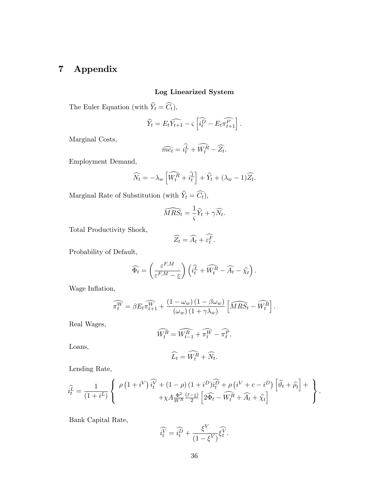# 7 Appendix

# Log Linearized System

The Euler Equation (with  $\hat{Y}_t = \widehat{C_t}$ ),

$$
\widehat{Y}_t = E_t \widehat{Y_{t+1}} - \varsigma \left[ \widehat{i_t^D} - E_t \widehat{\pi_{t+1}^P} \right].
$$

Marginal Costs,

$$
\widehat{mc_t} = \widehat{i_t^L} + \widehat{W_t^R} - \widehat{Z_t}.
$$

Employment Demand,

$$
\widehat{N}_t = -\lambda_w \left[ \widehat{W_t^R} + \widehat{i_t^L} \right] + \widehat{Y}_t + (\lambda_w - 1) \widehat{Z}_t.
$$

Marginal Rate of Substitution (with  $\widehat{Y}_t = \widehat{C_t}$ ),

$$
\widehat{MRS}_t = \frac{1}{\varsigma}\widehat{Y}_t + \gamma \widehat{N}_t.
$$

Total Productivity Shock,

$$
\widehat{Z_t} = \widehat{A_t} + \widehat{\varepsilon_t^F}.
$$

Probability of Default,

$$
\widehat{\Phi_t} = \left(\frac{\varepsilon^{F,M}}{\varepsilon^{F,M} - \underline{\varepsilon}}\right) \left(\widehat{i_t^L} + \widehat{W_t^R} - \widehat{A_t} - \widehat{\chi_t}\right).
$$

Wage Inflation,

$$
\widehat{\pi_t^W} = \beta E_t \widehat{\pi_{t+1}^W} + \frac{(1 - \omega_w)(1 - \beta \omega_w)}{(\omega_w)(1 + \gamma \lambda_w)} \left[ \widehat{MRS}_t - \widehat{W_t^R} \right].
$$

Real Wages,

$$
\widehat{W_t^R} = \widehat{W_{t-1}^R} + \widehat{\pi_t^W} - \widehat{\pi_t^P}.
$$

Loans,

$$
\widehat{L_t} = \widehat{W_t^R} + \widehat{N_t}.
$$

Lending Rate,

$$
\hat{i_t^L} = \frac{1}{(1+i^L)} \left\{ \begin{array}{c} \rho \left(1+i^V\right) \hat{i_t^V} + \left(1-\rho\right) \left(1+i^D\right) \hat{i_t^D} + \rho \left(i^V + c - i^D\right) \left[\widehat{\vartheta_t} + \widehat{\rho_t}\right] + \\ + \chi A \frac{\Phi^2}{W^R} \frac{\left(\bar{\varepsilon} - \underline{\varepsilon}\right)}{2} \left[2 \widehat{\Phi_t} - \widehat{W_t^R} + \widehat{A_t} + \widehat{\chi_t}\right] \end{array}\right\}.
$$

Bank Capital Rate,

$$
\widehat{i_t^V} = \widehat{i_t^D} + \frac{\xi^V}{(1 - \xi^V)} \widehat{\xi_t^V}.
$$